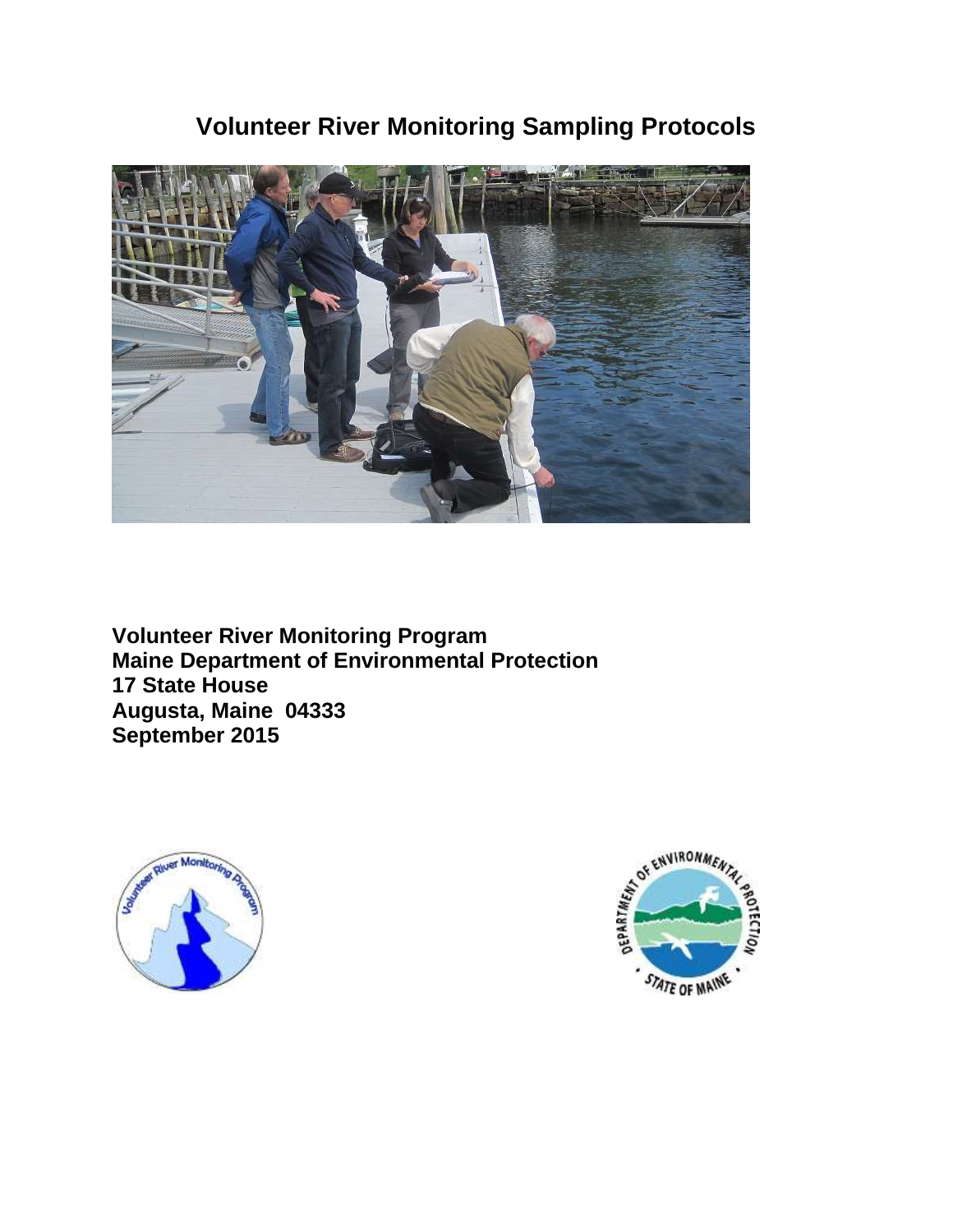# **Volunteer River Monitoring Sampling Protocols**



**Volunteer River Monitoring Program Maine Department of Environmental Protection 17 State House Augusta, Maine 04333 September 2015**



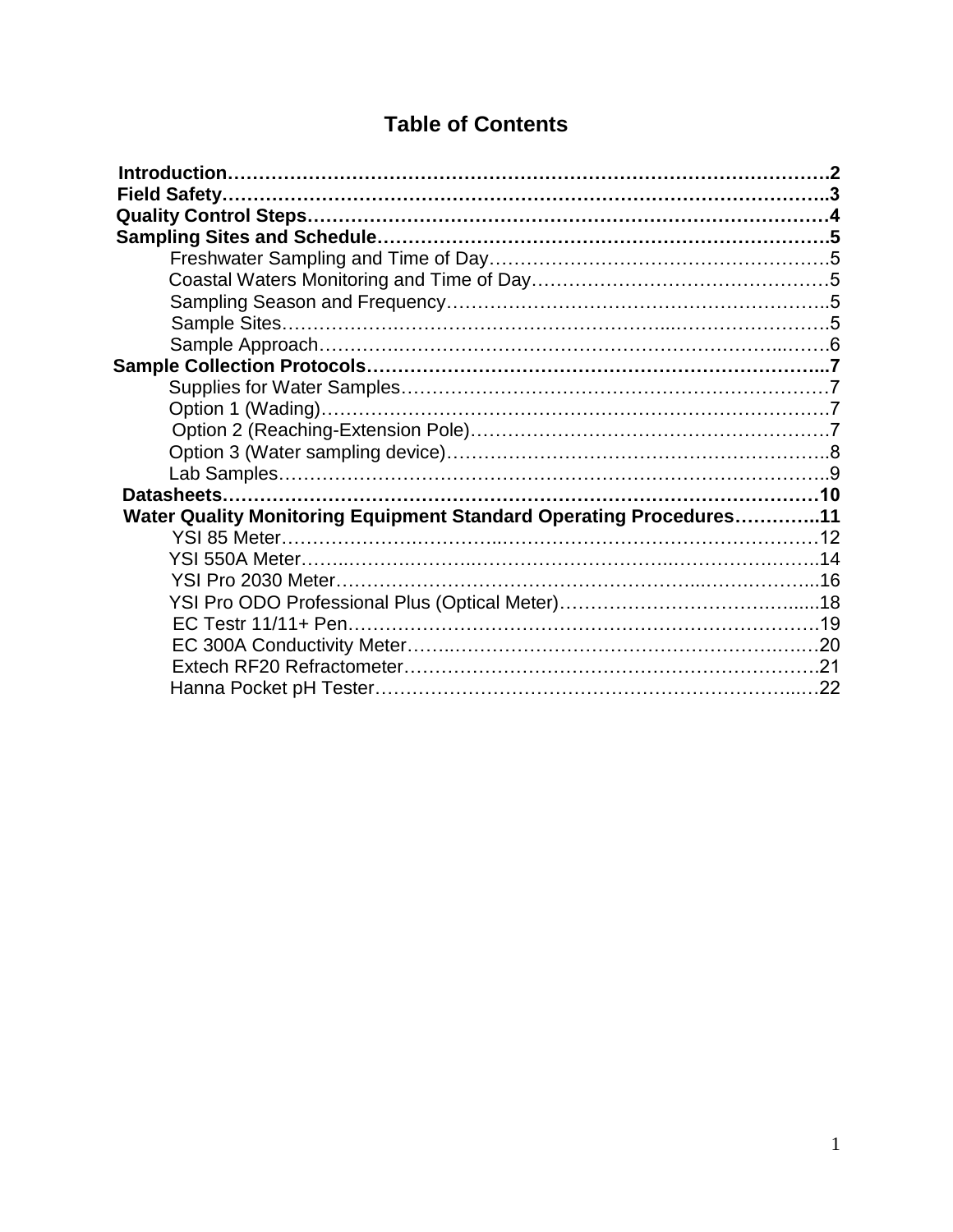# **Table of Contents**

| Water Quality Monitoring Equipment Standard Operating Procedures11 |  |
|--------------------------------------------------------------------|--|
|                                                                    |  |
| YSI 550A Meter…………………………………………………………………………14                       |  |
|                                                                    |  |
|                                                                    |  |
|                                                                    |  |
|                                                                    |  |
|                                                                    |  |
|                                                                    |  |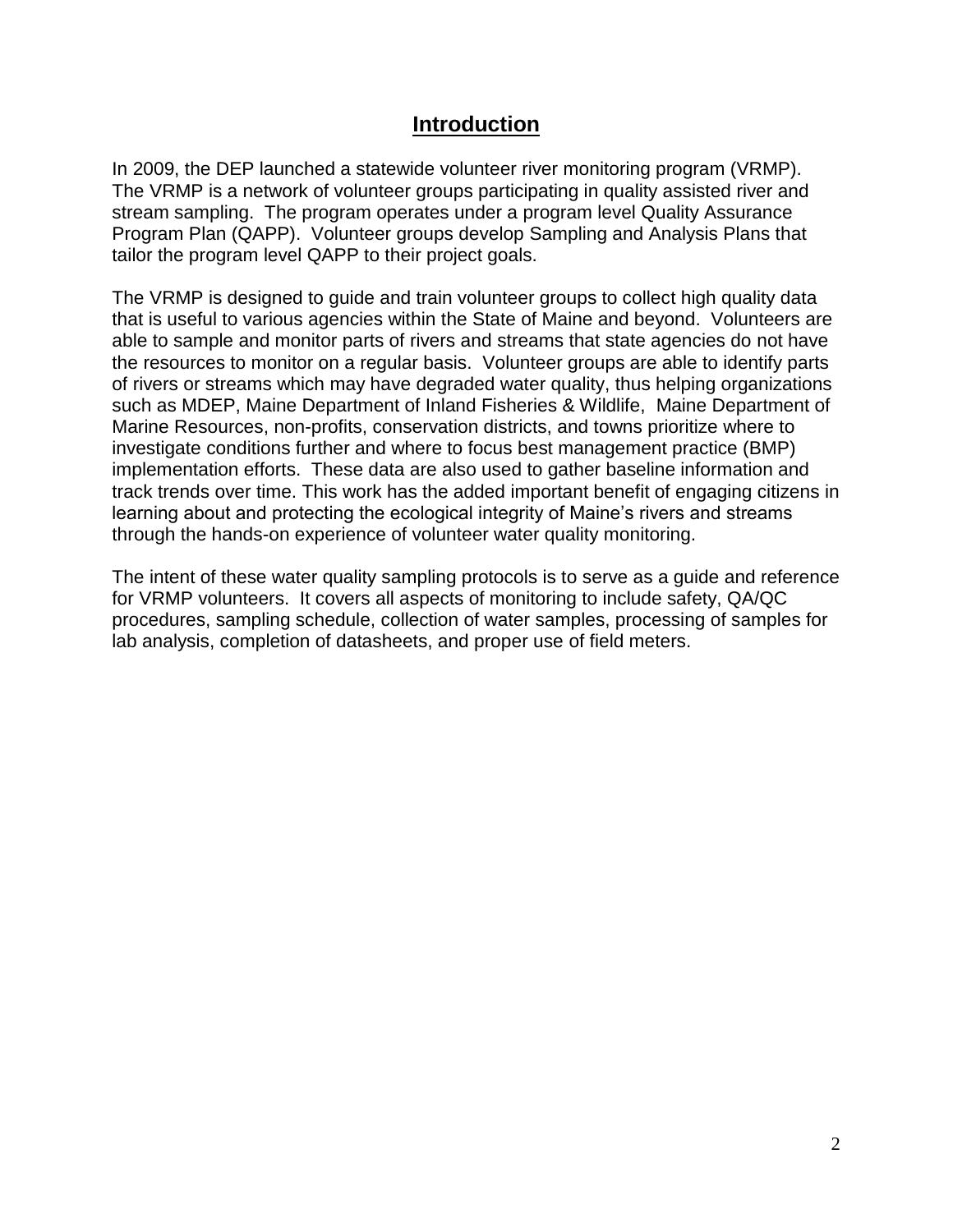### **Introduction**

In 2009, the DEP launched a statewide volunteer river monitoring program (VRMP). The VRMP is a network of volunteer groups participating in quality assisted river and stream sampling. The program operates under a program level Quality Assurance Program Plan (QAPP). Volunteer groups develop Sampling and Analysis Plans that tailor the program level QAPP to their project goals.

The VRMP is designed to guide and train volunteer groups to collect high quality data that is useful to various agencies within the State of Maine and beyond. Volunteers are able to sample and monitor parts of rivers and streams that state agencies do not have the resources to monitor on a regular basis. Volunteer groups are able to identify parts of rivers or streams which may have degraded water quality, thus helping organizations such as MDEP, Maine Department of Inland Fisheries & Wildlife, Maine Department of Marine Resources, non-profits, conservation districts, and towns prioritize where to investigate conditions further and where to focus best management practice (BMP) implementation efforts. These data are also used to gather baseline information and track trends over time. This work has the added important benefit of engaging citizens in learning about and protecting the ecological integrity of Maine's rivers and streams through the hands-on experience of volunteer water quality monitoring.

The intent of these water quality sampling protocols is to serve as a guide and reference for VRMP volunteers. It covers all aspects of monitoring to include safety, QA/QC procedures, sampling schedule, collection of water samples, processing of samples for lab analysis, completion of datasheets, and proper use of field meters.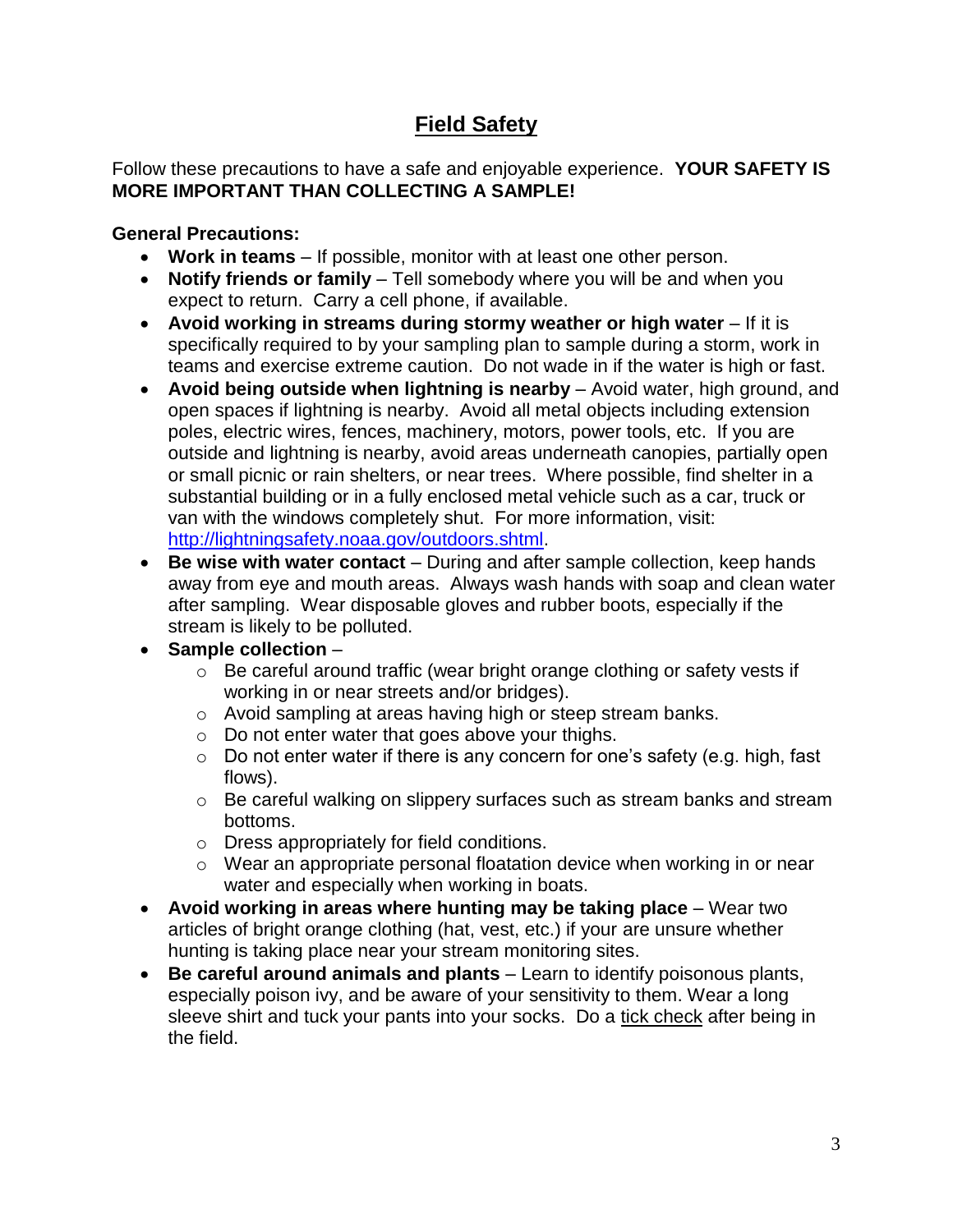# **Field Safety**

### Follow these precautions to have a safe and enjoyable experience. **YOUR SAFETY IS MORE IMPORTANT THAN COLLECTING A SAMPLE!**

### **General Precautions:**

- **Work in teams** If possible, monitor with at least one other person.
- **Notify friends or family** Tell somebody where you will be and when you expect to return. Carry a cell phone, if available.
- **Avoid working in streams during stormy weather or high water** If it is specifically required to by your sampling plan to sample during a storm, work in teams and exercise extreme caution. Do not wade in if the water is high or fast.
- **Avoid being outside when lightning is nearby** Avoid water, high ground, and open spaces if lightning is nearby. Avoid all metal objects including extension poles, electric wires, fences, machinery, motors, power tools, etc. If you are outside and lightning is nearby, avoid areas underneath canopies, partially open or small picnic or rain shelters, or near trees. Where possible, find shelter in a substantial building or in a fully enclosed metal vehicle such as a car, truck or van with the windows completely shut. For more information, visit: [http://lightningsafety.noaa.gov/outdoors.shtml.](http://lightningsafety.noaa.gov/outdoors.shtml)
- **Be wise with water contact** During and after sample collection, keep hands away from eye and mouth areas. Always wash hands with soap and clean water after sampling. Wear disposable gloves and rubber boots, especially if the stream is likely to be polluted.
- **Sample collection**
	- o Be careful around traffic (wear bright orange clothing or safety vests if working in or near streets and/or bridges).
	- o Avoid sampling at areas having high or steep stream banks.
	- o Do not enter water that goes above your thighs.
	- o Do not enter water if there is any concern for one's safety (e.g. high, fast flows).
	- $\circ$  Be careful walking on slippery surfaces such as stream banks and stream bottoms.
	- o Dress appropriately for field conditions.
	- o Wear an appropriate personal floatation device when working in or near water and especially when working in boats.
- **Avoid working in areas where hunting may be taking place** Wear two articles of bright orange clothing (hat, vest, etc.) if your are unsure whether hunting is taking place near your stream monitoring sites.
- **Be careful around animals and plants**  Learn to identify poisonous plants, especially poison ivy, and be aware of your sensitivity to them. Wear a long sleeve shirt and tuck your pants into your socks. Do a tick check after being in the field.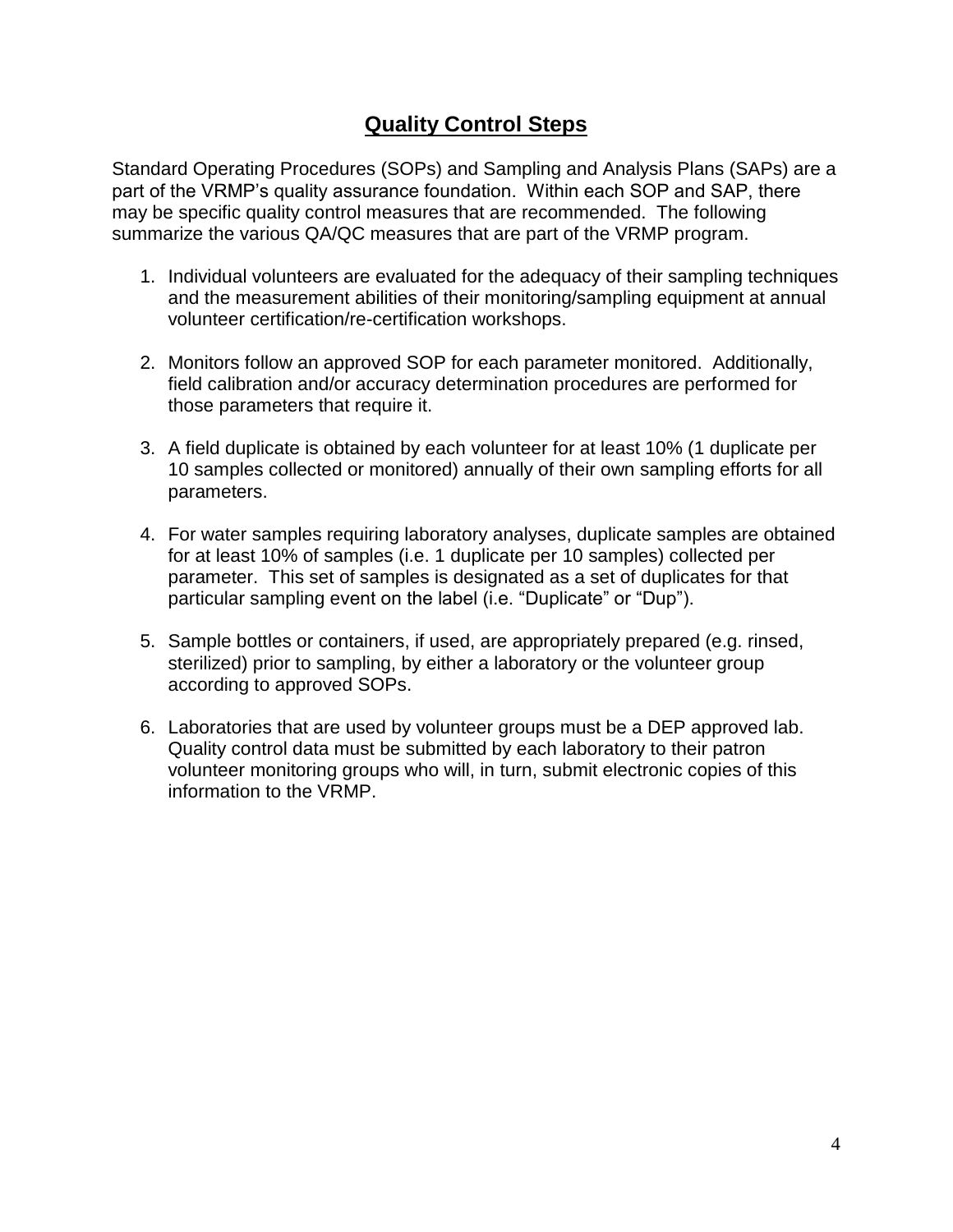# **Quality Control Steps**

Standard Operating Procedures (SOPs) and Sampling and Analysis Plans (SAPs) are a part of the VRMP's quality assurance foundation. Within each SOP and SAP, there may be specific quality control measures that are recommended. The following summarize the various QA/QC measures that are part of the VRMP program.

- 1. Individual volunteers are evaluated for the adequacy of their sampling techniques and the measurement abilities of their monitoring/sampling equipment at annual volunteer certification/re-certification workshops.
- 2. Monitors follow an approved SOP for each parameter monitored. Additionally, field calibration and/or accuracy determination procedures are performed for those parameters that require it.
- 3. A field duplicate is obtained by each volunteer for at least 10% (1 duplicate per 10 samples collected or monitored) annually of their own sampling efforts for all parameters.
- 4. For water samples requiring laboratory analyses, duplicate samples are obtained for at least 10% of samples (i.e. 1 duplicate per 10 samples) collected per parameter. This set of samples is designated as a set of duplicates for that particular sampling event on the label (i.e. "Duplicate" or "Dup").
- 5. Sample bottles or containers, if used, are appropriately prepared (e.g. rinsed, sterilized) prior to sampling, by either a laboratory or the volunteer group according to approved SOPs.
- 6. Laboratories that are used by volunteer groups must be a DEP approved lab. Quality control data must be submitted by each laboratory to their patron volunteer monitoring groups who will, in turn, submit electronic copies of this information to the VRMP.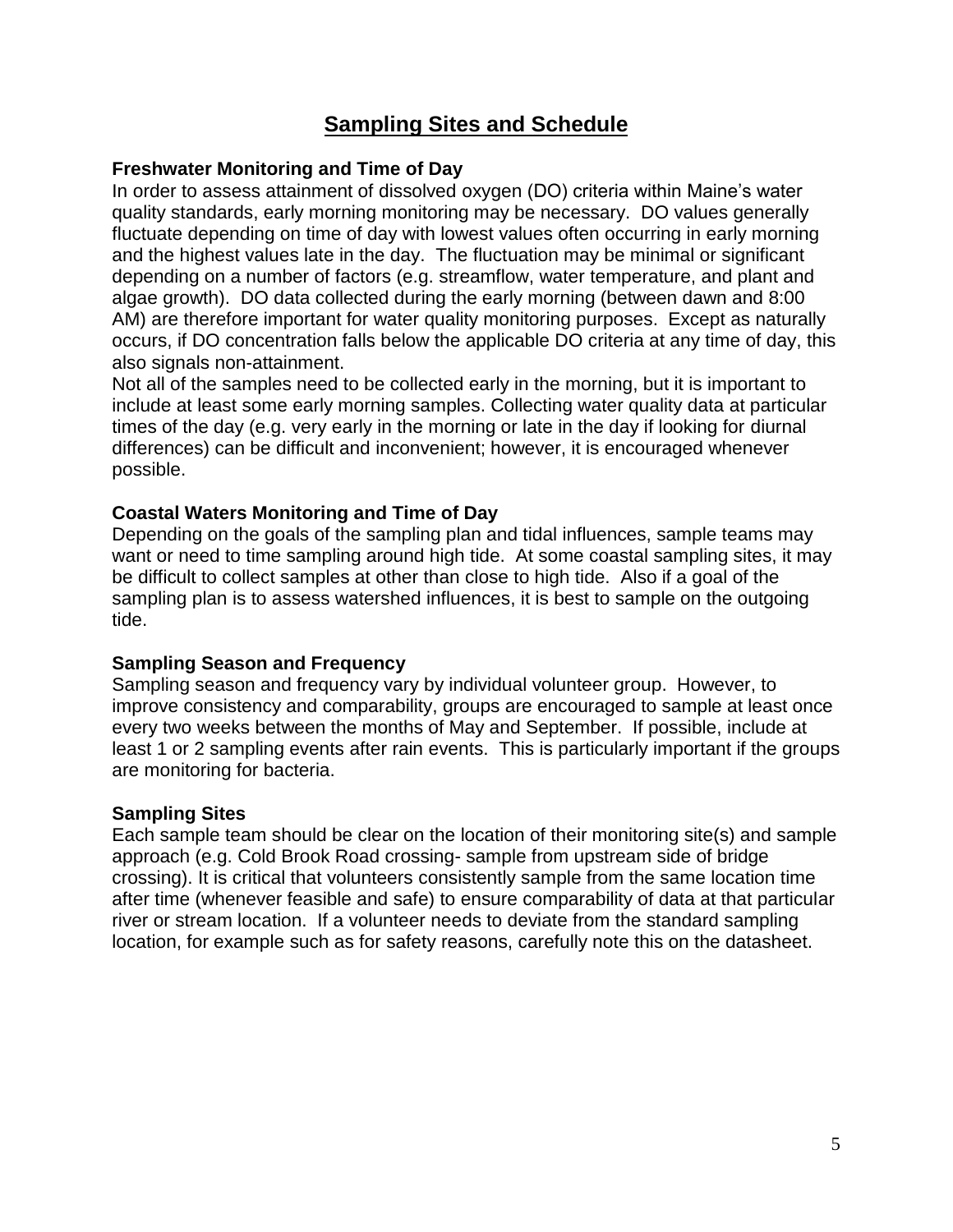## **Sampling Sites and Schedule**

#### **Freshwater Monitoring and Time of Day**

In order to assess attainment of dissolved oxygen (DO) criteria within Maine's water quality standards, early morning monitoring may be necessary. DO values generally fluctuate depending on time of day with lowest values often occurring in early morning and the highest values late in the day. The fluctuation may be minimal or significant depending on a number of factors (e.g. streamflow, water temperature, and plant and algae growth). DO data collected during the early morning (between dawn and 8:00 AM) are therefore important for water quality monitoring purposes. Except as naturally occurs, if DO concentration falls below the applicable DO criteria at any time of day, this also signals non-attainment.

Not all of the samples need to be collected early in the morning, but it is important to include at least some early morning samples. Collecting water quality data at particular times of the day (e.g. very early in the morning or late in the day if looking for diurnal differences) can be difficult and inconvenient; however, it is encouraged whenever possible.

#### **Coastal Waters Monitoring and Time of Day**

Depending on the goals of the sampling plan and tidal influences, sample teams may want or need to time sampling around high tide. At some coastal sampling sites, it may be difficult to collect samples at other than close to high tide. Also if a goal of the sampling plan is to assess watershed influences, it is best to sample on the outgoing tide.

#### **Sampling Season and Frequency**

Sampling season and frequency vary by individual volunteer group. However, to improve consistency and comparability, groups are encouraged to sample at least once every two weeks between the months of May and September. If possible, include at least 1 or 2 sampling events after rain events. This is particularly important if the groups are monitoring for bacteria.

#### **Sampling Sites**

Each sample team should be clear on the location of their monitoring site(s) and sample approach (e.g. Cold Brook Road crossing- sample from upstream side of bridge crossing). It is critical that volunteers consistently sample from the same location time after time (whenever feasible and safe) to ensure comparability of data at that particular river or stream location. If a volunteer needs to deviate from the standard sampling location, for example such as for safety reasons, carefully note this on the datasheet.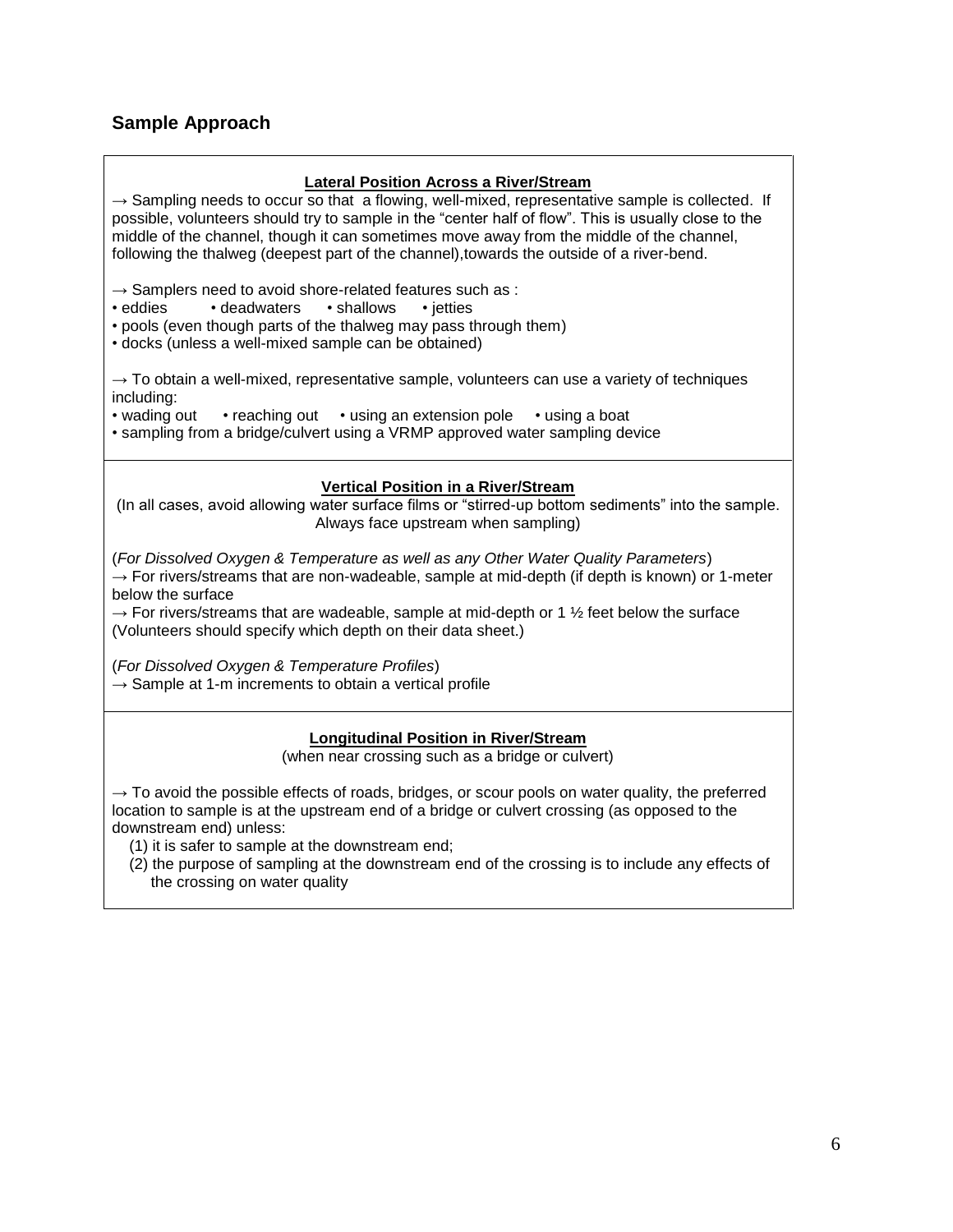# **Sample Approach**

| <b>Lateral Position Across a River/Stream</b><br>$\rightarrow$ Sampling needs to occur so that a flowing, well-mixed, representative sample is collected. If<br>possible, volunteers should try to sample in the "center half of flow". This is usually close to the<br>middle of the channel, though it can sometimes move away from the middle of the channel,<br>following the thalweg (deepest part of the channel), towards the outside of a river-bend. |  |  |
|---------------------------------------------------------------------------------------------------------------------------------------------------------------------------------------------------------------------------------------------------------------------------------------------------------------------------------------------------------------------------------------------------------------------------------------------------------------|--|--|
| $\rightarrow$ Samplers need to avoid shore-related features such as :<br>• eddies<br>• deadwaters<br>· shallows<br>• jetties<br>• pools (even though parts of the thalweg may pass through them)<br>· docks (unless a well-mixed sample can be obtained)                                                                                                                                                                                                      |  |  |
| $\rightarrow$ To obtain a well-mixed, representative sample, volunteers can use a variety of techniques<br>including:<br>• wading out<br>• reaching out • using an extension pole<br>• using a boat<br>· sampling from a bridge/culvert using a VRMP approved water sampling device                                                                                                                                                                           |  |  |
| <b>Vertical Position in a River/Stream</b><br>(In all cases, avoid allowing water surface films or "stirred-up bottom sediments" into the sample.<br>Always face upstream when sampling)                                                                                                                                                                                                                                                                      |  |  |
| (For Dissolved Oxygen & Temperature as well as any Other Water Quality Parameters)<br>$\rightarrow$ For rivers/streams that are non-wadeable, sample at mid-depth (if depth is known) or 1-meter<br>below the surface<br>$\rightarrow$ For rivers/streams that are wadeable, sample at mid-depth or 1 $\frac{1}{2}$ feet below the surface<br>(Volunteers should specify which depth on their data sheet.)                                                    |  |  |
| (For Dissolved Oxygen & Temperature Profiles)<br>$\rightarrow$ Sample at 1-m increments to obtain a vertical profile                                                                                                                                                                                                                                                                                                                                          |  |  |
| <b>Longitudinal Position in River/Stream</b><br>(when near crossing such as a bridge or culvert)                                                                                                                                                                                                                                                                                                                                                              |  |  |
| $\rightarrow$ To avoid the possible effects of roads, bridges, or scour pools on water quality, the preferred<br>location to sample is at the upstream end of a bridge or culvert crossing (as opposed to the<br>downstream end) unless:<br>(1) it is safer to sample at the downstream end;<br>(2) the purpose of sampling at the downstream end of the crossing is to include any effects of<br>the crossing on water quality                               |  |  |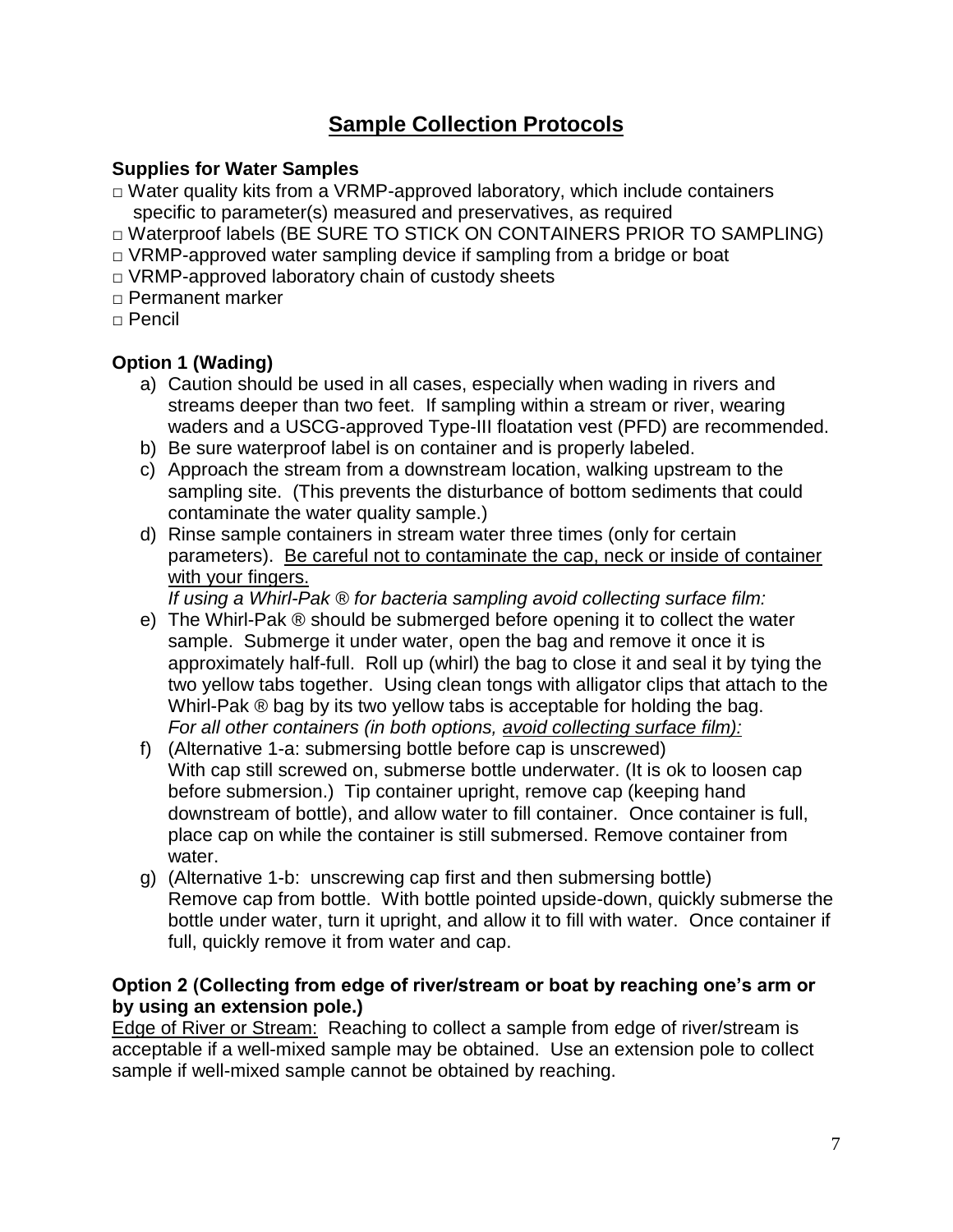# **Sample Collection Protocols**

### **Supplies for Water Samples**

- $\Box$  Water quality kits from a VRMP-approved laboratory, which include containers specific to parameter(s) measured and preservatives, as required
- □ Waterproof labels (BE SURE TO STICK ON CONTAINERS PRIOR TO SAMPLING)
- $\Box$  VRMP-approved water sampling device if sampling from a bridge or boat
- $\Box$  VRMP-approved laboratory chain of custody sheets
- □ Permanent marker
- $\Box$  Pencil

### **Option 1 (Wading)**

- a) Caution should be used in all cases, especially when wading in rivers and streams deeper than two feet. If sampling within a stream or river, wearing waders and a USCG-approved Type-III floatation vest (PFD) are recommended.
- b) Be sure waterproof label is on container and is properly labeled.
- c) Approach the stream from a downstream location, walking upstream to the sampling site. (This prevents the disturbance of bottom sediments that could contaminate the water quality sample.)
- d) Rinse sample containers in stream water three times (only for certain parameters). Be careful not to contaminate the cap, neck or inside of container with your fingers.

*If using a Whirl-Pak ® for bacteria sampling avoid collecting surface film:*

- e) The Whirl-Pak ® should be submerged before opening it to collect the water sample. Submerge it under water, open the bag and remove it once it is approximately half-full. Roll up (whirl) the bag to close it and seal it by tying the two yellow tabs together. Using clean tongs with alligator clips that attach to the Whirl-Pak ® bag by its two yellow tabs is acceptable for holding the bag. *For all other containers (in both options, avoid collecting surface film):*
- f) (Alternative 1-a: submersing bottle before cap is unscrewed) With cap still screwed on, submerse bottle underwater. (It is ok to loosen cap before submersion.) Tip container upright, remove cap (keeping hand downstream of bottle), and allow water to fill container. Once container is full, place cap on while the container is still submersed. Remove container from water.
- g) (Alternative 1-b: unscrewing cap first and then submersing bottle) Remove cap from bottle. With bottle pointed upside-down, quickly submerse the bottle under water, turn it upright, and allow it to fill with water. Once container if full, quickly remove it from water and cap.

### **Option 2 (Collecting from edge of river/stream or boat by reaching one's arm or by using an extension pole.)**

Edge of River or Stream: Reaching to collect a sample from edge of river/stream is acceptable if a well-mixed sample may be obtained. Use an extension pole to collect sample if well-mixed sample cannot be obtained by reaching.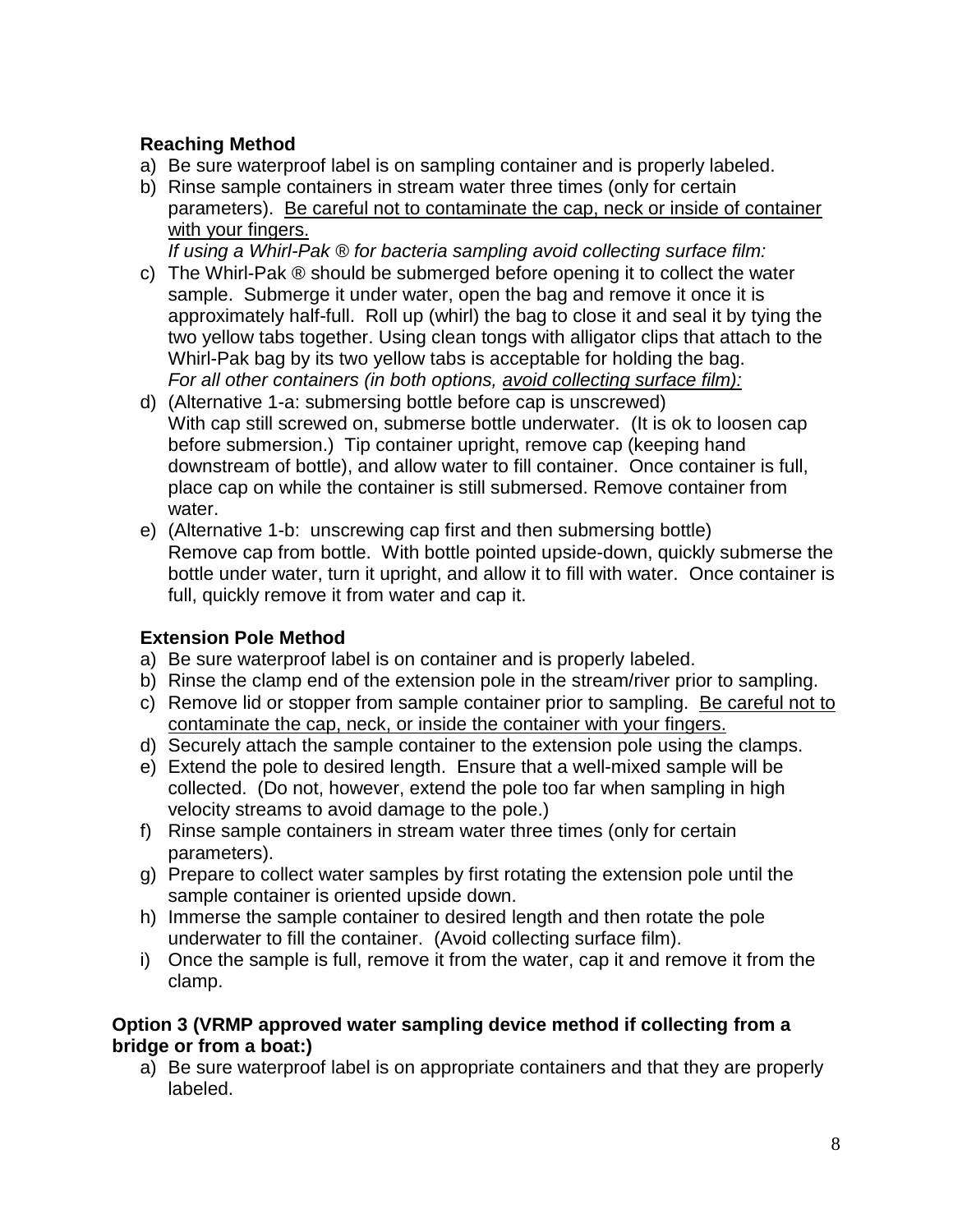### **Reaching Method**

- a) Be sure waterproof label is on sampling container and is properly labeled.
- b) Rinse sample containers in stream water three times (only for certain parameters). Be careful not to contaminate the cap, neck or inside of container with your fingers.

*If using a Whirl-Pak ® for bacteria sampling avoid collecting surface film:*

- c) The Whirl-Pak ® should be submerged before opening it to collect the water sample. Submerge it under water, open the bag and remove it once it is approximately half-full. Roll up (whirl) the bag to close it and seal it by tying the two yellow tabs together. Using clean tongs with alligator clips that attach to the Whirl-Pak bag by its two yellow tabs is acceptable for holding the bag. *For all other containers (in both options, avoid collecting surface film):*
- d) (Alternative 1-a: submersing bottle before cap is unscrewed) With cap still screwed on, submerse bottle underwater. (It is ok to loosen cap before submersion.) Tip container upright, remove cap (keeping hand downstream of bottle), and allow water to fill container. Once container is full, place cap on while the container is still submersed. Remove container from water.
- e) (Alternative 1-b: unscrewing cap first and then submersing bottle) Remove cap from bottle. With bottle pointed upside-down, quickly submerse the bottle under water, turn it upright, and allow it to fill with water. Once container is full, quickly remove it from water and cap it.

### **Extension Pole Method**

- a) Be sure waterproof label is on container and is properly labeled.
- b) Rinse the clamp end of the extension pole in the stream/river prior to sampling.
- c) Remove lid or stopper from sample container prior to sampling. Be careful not to contaminate the cap, neck, or inside the container with your fingers.
- d) Securely attach the sample container to the extension pole using the clamps.
- e) Extend the pole to desired length. Ensure that a well-mixed sample will be collected. (Do not, however, extend the pole too far when sampling in high velocity streams to avoid damage to the pole.)
- f) Rinse sample containers in stream water three times (only for certain parameters).
- g) Prepare to collect water samples by first rotating the extension pole until the sample container is oriented upside down.
- h) Immerse the sample container to desired length and then rotate the pole underwater to fill the container. (Avoid collecting surface film).
- i) Once the sample is full, remove it from the water, cap it and remove it from the clamp.

### **Option 3 (VRMP approved water sampling device method if collecting from a bridge or from a boat:)**

a) Be sure waterproof label is on appropriate containers and that they are properly labeled.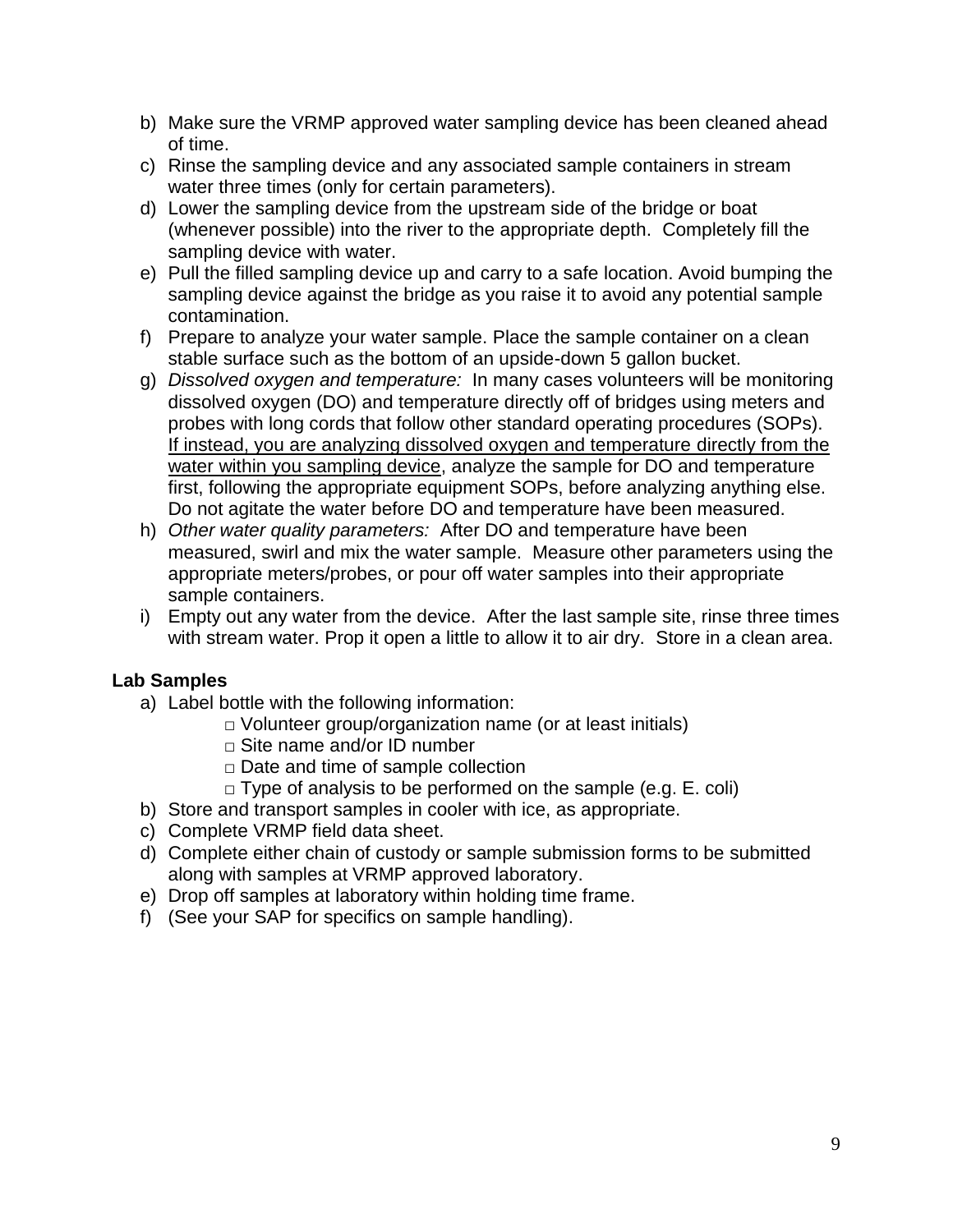- b) Make sure the VRMP approved water sampling device has been cleaned ahead of time.
- c) Rinse the sampling device and any associated sample containers in stream water three times (only for certain parameters).
- d) Lower the sampling device from the upstream side of the bridge or boat (whenever possible) into the river to the appropriate depth. Completely fill the sampling device with water.
- e) Pull the filled sampling device up and carry to a safe location. Avoid bumping the sampling device against the bridge as you raise it to avoid any potential sample contamination.
- f) Prepare to analyze your water sample. Place the sample container on a clean stable surface such as the bottom of an upside-down 5 gallon bucket.
- g) *Dissolved oxygen and temperature:* In many cases volunteers will be monitoring dissolved oxygen (DO) and temperature directly off of bridges using meters and probes with long cords that follow other standard operating procedures (SOPs). If instead, you are analyzing dissolved oxygen and temperature directly from the water within you sampling device, analyze the sample for DO and temperature first, following the appropriate equipment SOPs, before analyzing anything else. Do not agitate the water before DO and temperature have been measured.
- h) *Other water quality parameters:* After DO and temperature have been measured, swirl and mix the water sample. Measure other parameters using the appropriate meters/probes, or pour off water samples into their appropriate sample containers.
- i) Empty out any water from the device. After the last sample site, rinse three times with stream water. Prop it open a little to allow it to air dry. Store in a clean area.

### **Lab Samples**

- a) Label bottle with the following information:
	- □ Volunteer group/organization name (or at least initials)
	- □ Site name and/or ID number
	- □ Date and time of sample collection
	- □ Type of analysis to be performed on the sample (e.g. E. coli)
- b) Store and transport samples in cooler with ice, as appropriate.
- c) Complete VRMP field data sheet.
- d) Complete either chain of custody or sample submission forms to be submitted along with samples at VRMP approved laboratory.
- e) Drop off samples at laboratory within holding time frame.
- f) (See your SAP for specifics on sample handling).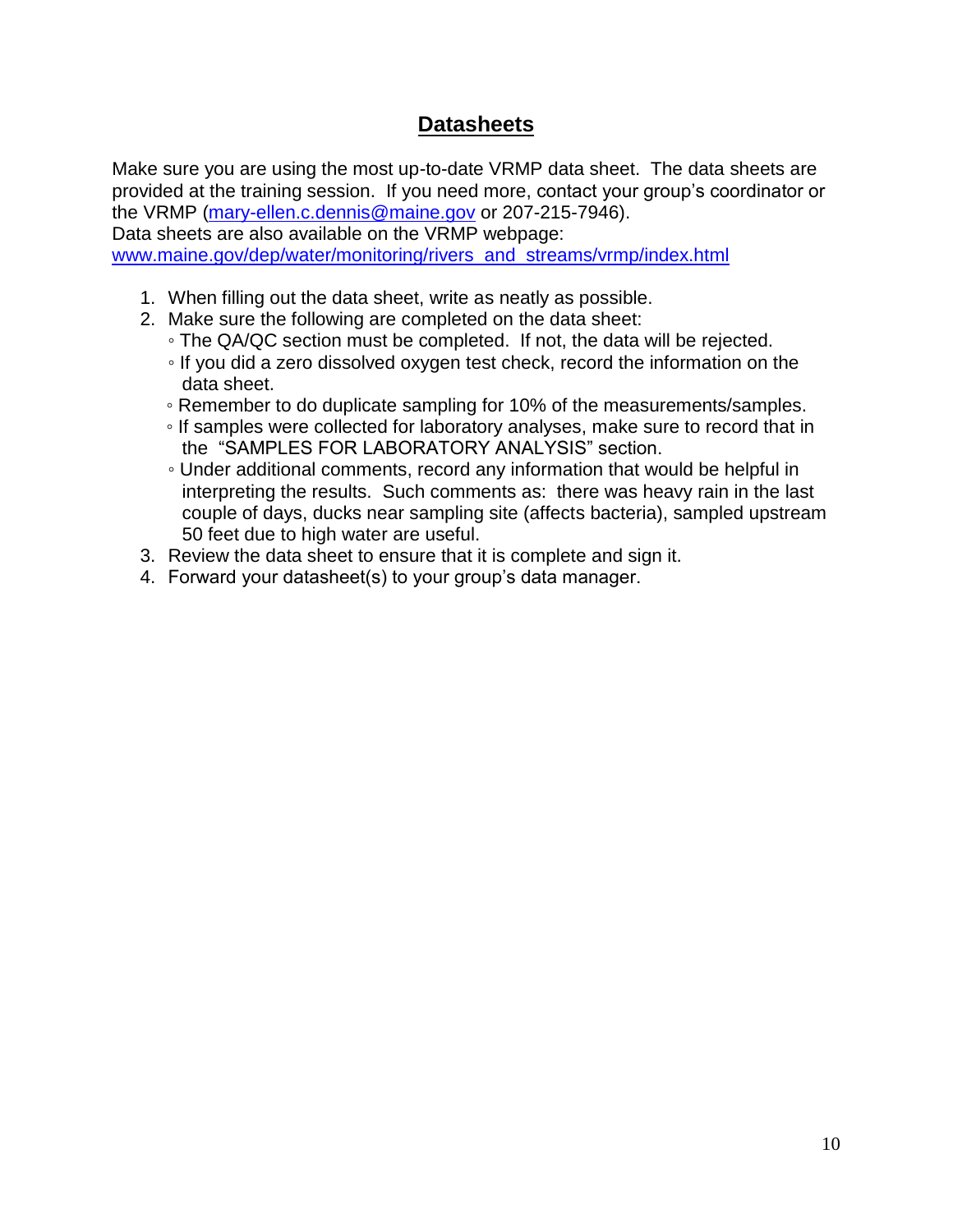### **Datasheets**

Make sure you are using the most up-to-date VRMP data sheet. The data sheets are provided at the training session. If you need more, contact your group's coordinator or the VRMP [\(mary-ellen.c.dennis@maine.gov](mailto:mary-ellen.c.dennis@maine.gov) or 207-215-7946).

Data sheets are also available on the VRMP webpage: [www.maine.gov/dep/water/monitoring/rivers\\_and\\_streams/vrmp/index.html](http://www.maine.gov/dep/water/monitoring/rivers_and_streams/vrmp/index.html)

- 1. When filling out the data sheet, write as neatly as possible.
- 2. Make sure the following are completed on the data sheet:
	- The QA/QC section must be completed. If not, the data will be rejected.
	- If you did a zero dissolved oxygen test check, record the information on the data sheet.
	- Remember to do duplicate sampling for 10% of the measurements/samples.
	- If samples were collected for laboratory analyses, make sure to record that in the "SAMPLES FOR LABORATORY ANALYSIS" section.
	- Under additional comments, record any information that would be helpful in interpreting the results. Such comments as: there was heavy rain in the last couple of days, ducks near sampling site (affects bacteria), sampled upstream 50 feet due to high water are useful.
- 3. Review the data sheet to ensure that it is complete and sign it.
- 4. Forward your datasheet(s) to your group's data manager.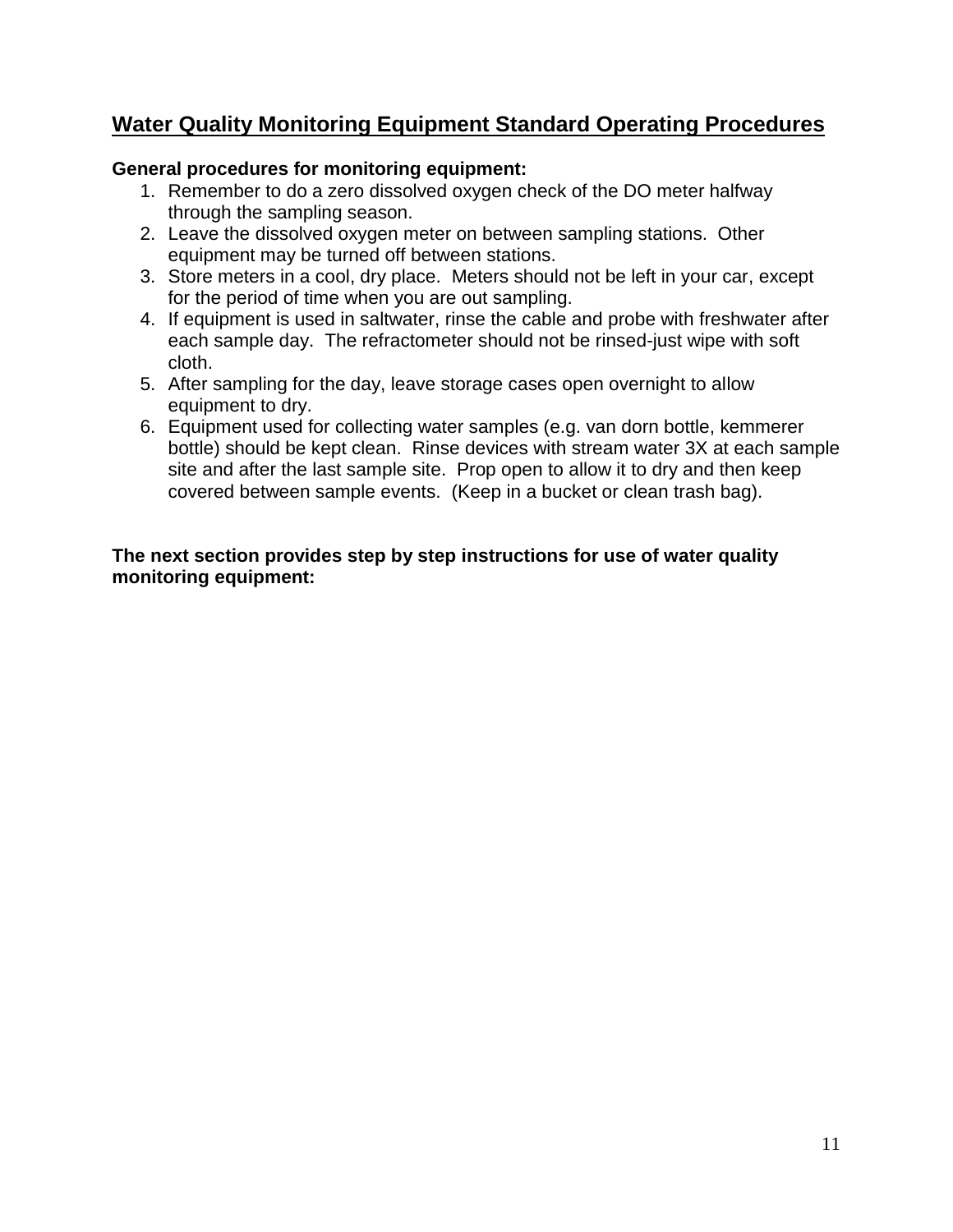# **Water Quality Monitoring Equipment Standard Operating Procedures**

### **General procedures for monitoring equipment:**

- 1. Remember to do a zero dissolved oxygen check of the DO meter halfway through the sampling season.
- 2. Leave the dissolved oxygen meter on between sampling stations. Other equipment may be turned off between stations.
- 3. Store meters in a cool, dry place. Meters should not be left in your car, except for the period of time when you are out sampling.
- 4. If equipment is used in saltwater, rinse the cable and probe with freshwater after each sample day. The refractometer should not be rinsed-just wipe with soft cloth.
- 5. After sampling for the day, leave storage cases open overnight to allow equipment to dry.
- 6. Equipment used for collecting water samples (e.g. van dorn bottle, kemmerer bottle) should be kept clean. Rinse devices with stream water 3X at each sample site and after the last sample site. Prop open to allow it to dry and then keep covered between sample events. (Keep in a bucket or clean trash bag).

#### **The next section provides step by step instructions for use of water quality monitoring equipment:**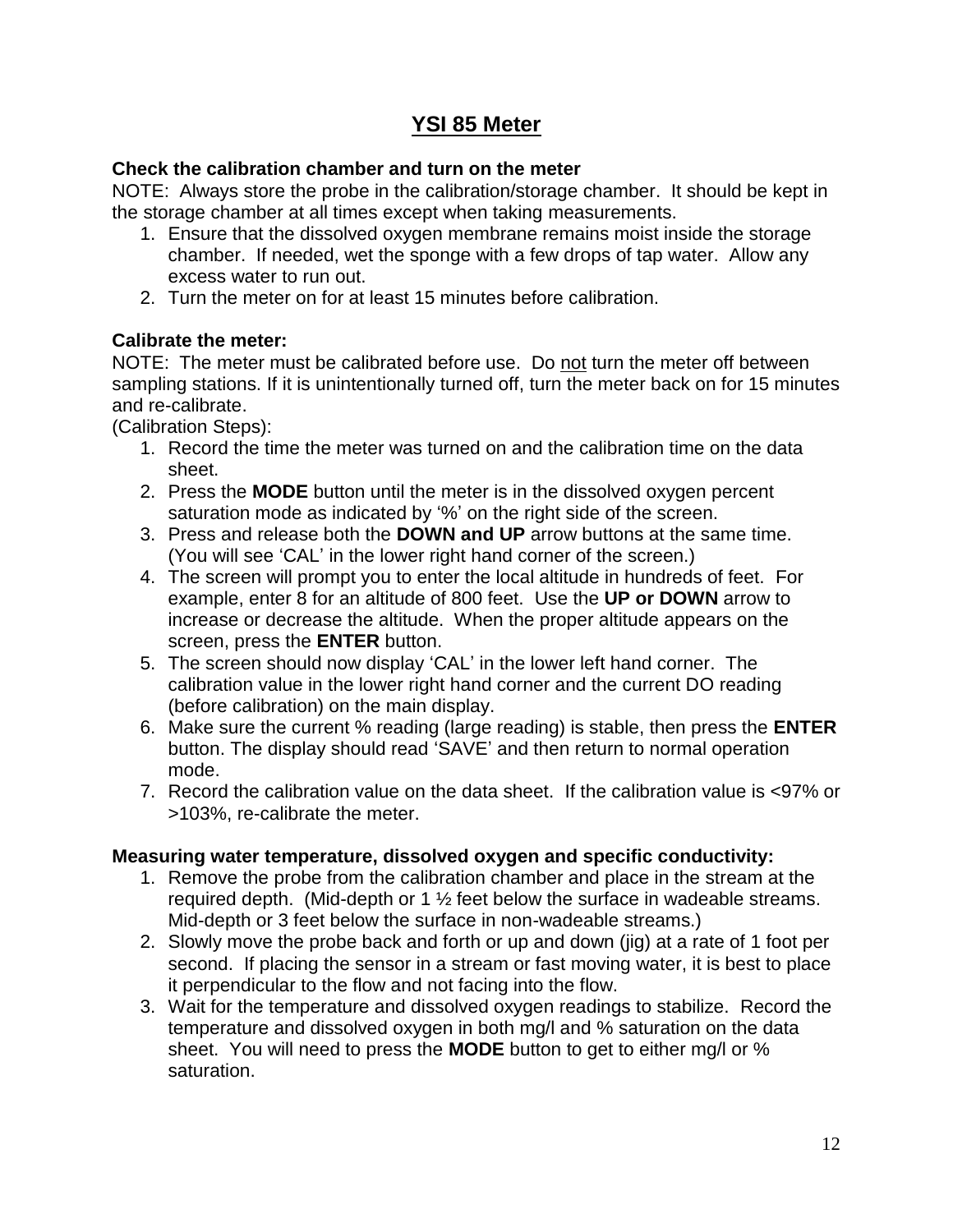## **YSI 85 Meter**

### **Check the calibration chamber and turn on the meter**

NOTE: Always store the probe in the calibration/storage chamber. It should be kept in the storage chamber at all times except when taking measurements.

- 1. Ensure that the dissolved oxygen membrane remains moist inside the storage chamber. If needed, wet the sponge with a few drops of tap water. Allow any excess water to run out.
- 2. Turn the meter on for at least 15 minutes before calibration.

### **Calibrate the meter:**

NOTE: The meter must be calibrated before use. Do not turn the meter off between sampling stations. If it is unintentionally turned off, turn the meter back on for 15 minutes and re-calibrate.

(Calibration Steps):

- 1. Record the time the meter was turned on and the calibration time on the data sheet.
- 2. Press the **MODE** button until the meter is in the dissolved oxygen percent saturation mode as indicated by '%' on the right side of the screen.
- 3. Press and release both the **DOWN and UP** arrow buttons at the same time. (You will see 'CAL' in the lower right hand corner of the screen.)
- 4. The screen will prompt you to enter the local altitude in hundreds of feet. For example, enter 8 for an altitude of 800 feet. Use the **UP or DOWN** arrow to increase or decrease the altitude. When the proper altitude appears on the screen, press the **ENTER** button.
- 5. The screen should now display 'CAL' in the lower left hand corner. The calibration value in the lower right hand corner and the current DO reading (before calibration) on the main display.
- 6. Make sure the current % reading (large reading) is stable, then press the **ENTER** button. The display should read 'SAVE' and then return to normal operation mode.
- 7. Record the calibration value on the data sheet. If the calibration value is <97% or >103%, re-calibrate the meter.

### **Measuring water temperature, dissolved oxygen and specific conductivity:**

- 1. Remove the probe from the calibration chamber and place in the stream at the required depth. (Mid-depth or 1 ½ feet below the surface in wadeable streams. Mid-depth or 3 feet below the surface in non-wadeable streams.)
- 2. Slowly move the probe back and forth or up and down (jig) at a rate of 1 foot per second. If placing the sensor in a stream or fast moving water, it is best to place it perpendicular to the flow and not facing into the flow.
- 3. Wait for the temperature and dissolved oxygen readings to stabilize. Record the temperature and dissolved oxygen in both mg/l and % saturation on the data sheet. You will need to press the **MODE** button to get to either mg/l or % saturation.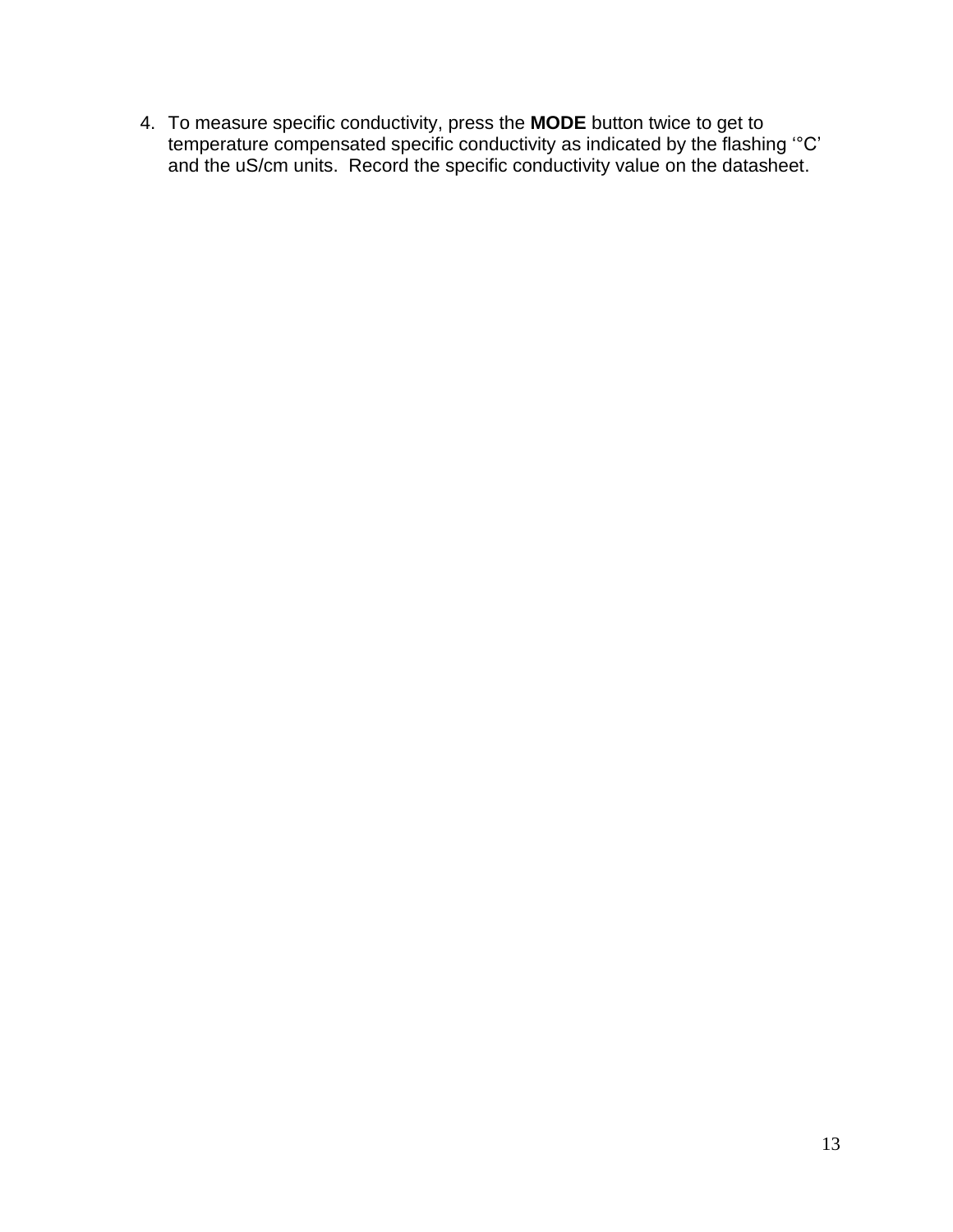4. To measure specific conductivity, press the **MODE** button twice to get to temperature compensated specific conductivity as indicated by the flashing '°C' and the uS/cm units. Record the specific conductivity value on the datasheet.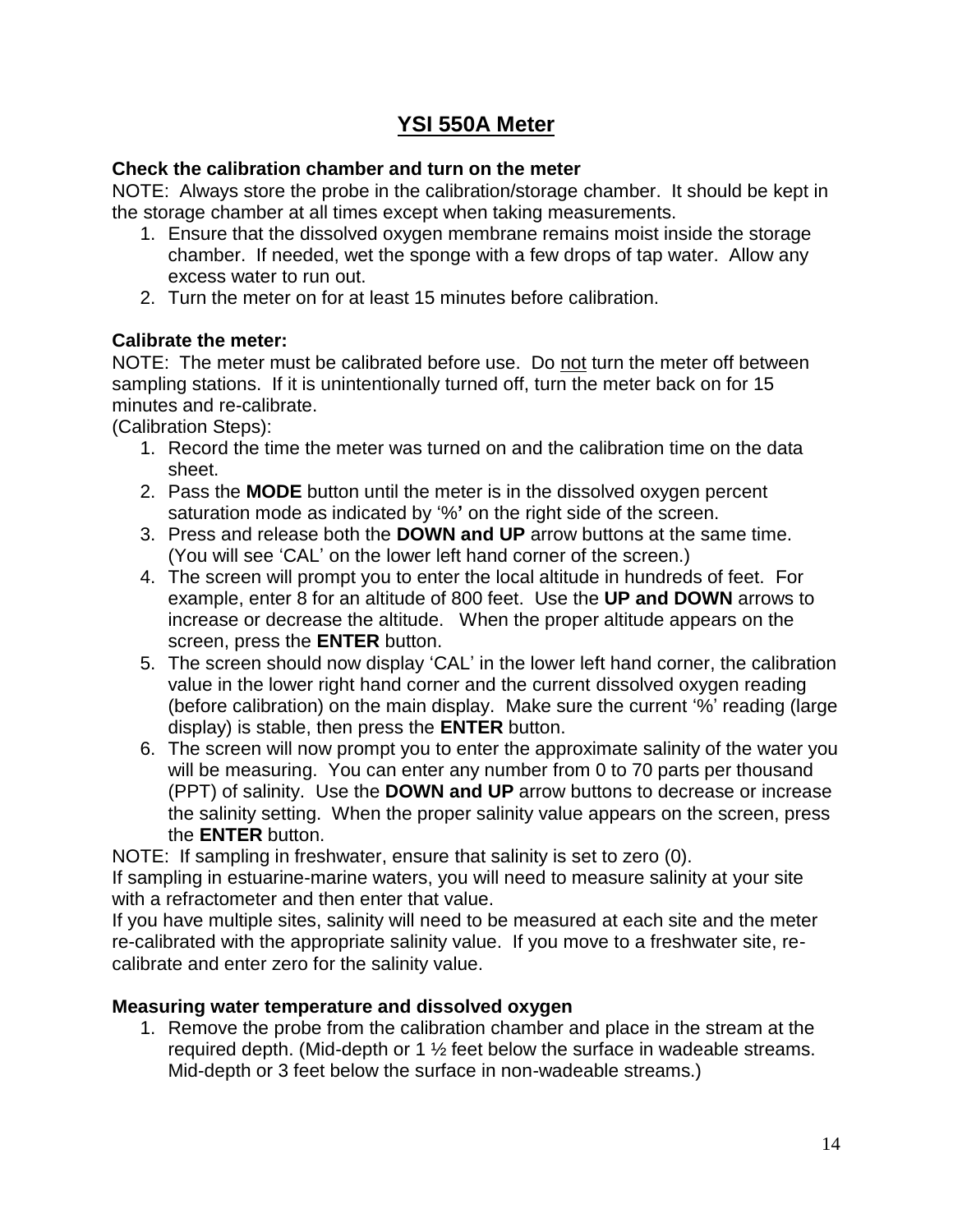# **YSI 550A Meter**

### **Check the calibration chamber and turn on the meter**

NOTE: Always store the probe in the calibration/storage chamber. It should be kept in the storage chamber at all times except when taking measurements.

- 1. Ensure that the dissolved oxygen membrane remains moist inside the storage chamber. If needed, wet the sponge with a few drops of tap water. Allow any excess water to run out.
- 2. Turn the meter on for at least 15 minutes before calibration.

### **Calibrate the meter:**

NOTE: The meter must be calibrated before use. Do not turn the meter off between sampling stations. If it is unintentionally turned off, turn the meter back on for 15 minutes and re-calibrate.

(Calibration Steps):

- 1. Record the time the meter was turned on and the calibration time on the data sheet.
- 2. Pass the **MODE** button until the meter is in the dissolved oxygen percent saturation mode as indicated by '%**'** on the right side of the screen.
- 3. Press and release both the **DOWN and UP** arrow buttons at the same time. (You will see 'CAL' on the lower left hand corner of the screen.)
- 4. The screen will prompt you to enter the local altitude in hundreds of feet. For example, enter 8 for an altitude of 800 feet. Use the **UP and DOWN** arrows to increase or decrease the altitude. When the proper altitude appears on the screen, press the **ENTER** button.
- 5. The screen should now display 'CAL' in the lower left hand corner, the calibration value in the lower right hand corner and the current dissolved oxygen reading (before calibration) on the main display. Make sure the current '%' reading (large display) is stable, then press the **ENTER** button.
- 6. The screen will now prompt you to enter the approximate salinity of the water you will be measuring. You can enter any number from 0 to 70 parts per thousand (PPT) of salinity. Use the **DOWN and UP** arrow buttons to decrease or increase the salinity setting. When the proper salinity value appears on the screen, press the **ENTER** button.

NOTE: If sampling in freshwater, ensure that salinity is set to zero (0).

If sampling in estuarine-marine waters, you will need to measure salinity at your site with a refractometer and then enter that value.

If you have multiple sites, salinity will need to be measured at each site and the meter re-calibrated with the appropriate salinity value. If you move to a freshwater site, recalibrate and enter zero for the salinity value.

### **Measuring water temperature and dissolved oxygen**

1. Remove the probe from the calibration chamber and place in the stream at the required depth. (Mid-depth or 1 ½ feet below the surface in wadeable streams. Mid-depth or 3 feet below the surface in non-wadeable streams.)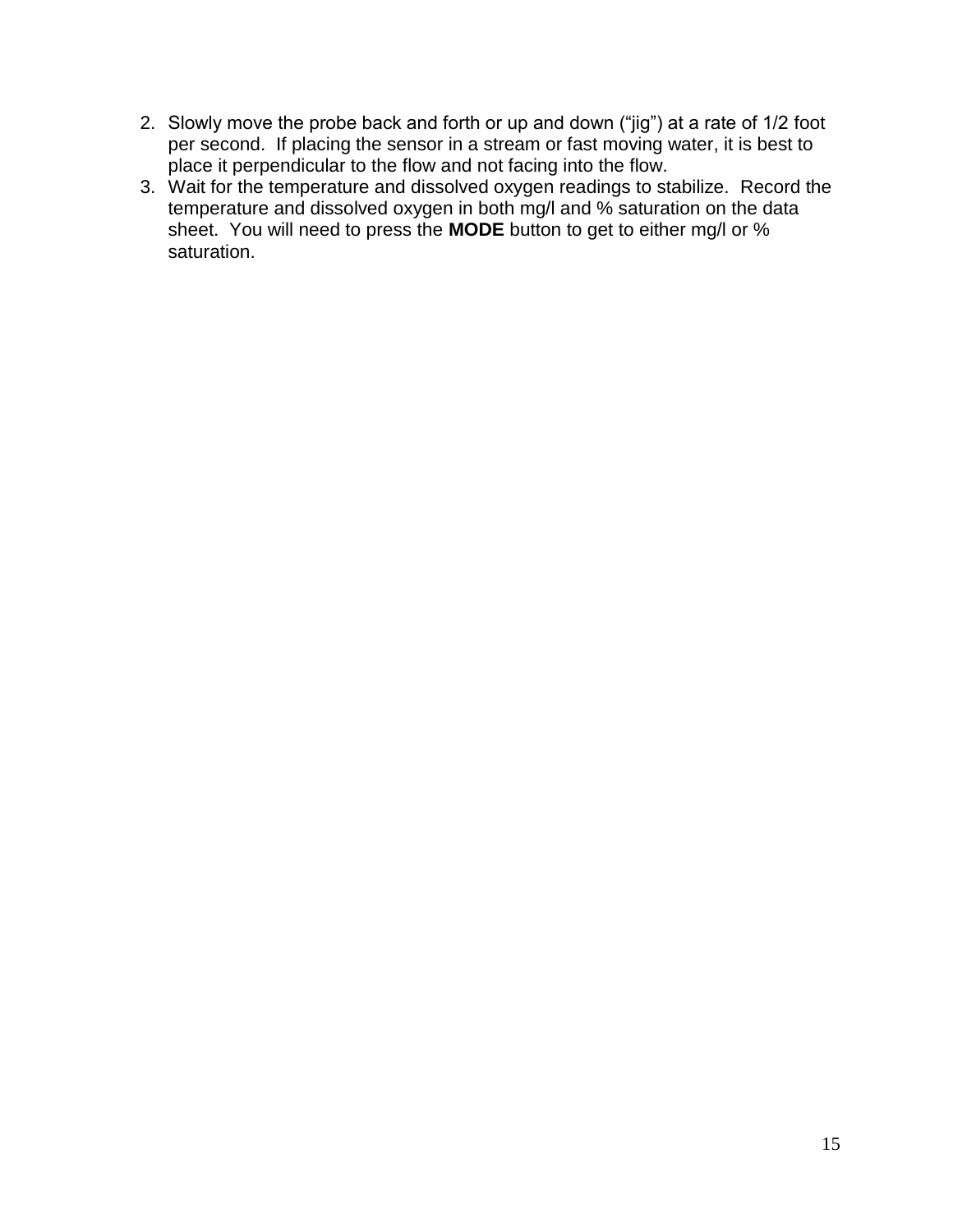- 2. Slowly move the probe back and forth or up and down ("jig") at a rate of 1/2 foot per second. If placing the sensor in a stream or fast moving water, it is best to place it perpendicular to the flow and not facing into the flow.
- 3. Wait for the temperature and dissolved oxygen readings to stabilize. Record the temperature and dissolved oxygen in both mg/l and % saturation on the data sheet. You will need to press the **MODE** button to get to either mg/l or % saturation.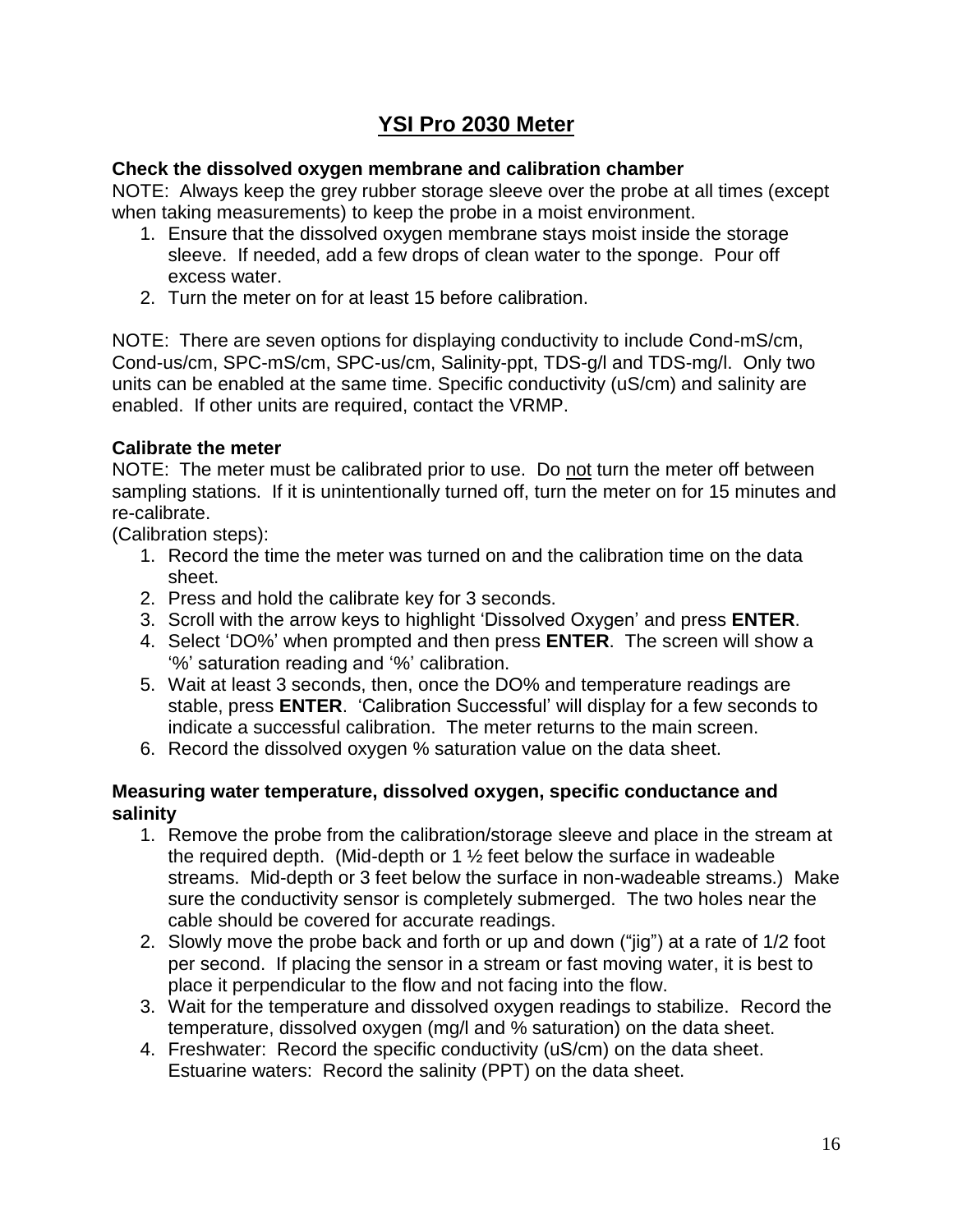# **YSI Pro 2030 Meter**

#### **Check the dissolved oxygen membrane and calibration chamber**

NOTE: Always keep the grey rubber storage sleeve over the probe at all times (except when taking measurements) to keep the probe in a moist environment.

- 1. Ensure that the dissolved oxygen membrane stays moist inside the storage sleeve. If needed, add a few drops of clean water to the sponge. Pour off excess water.
- 2. Turn the meter on for at least 15 before calibration.

NOTE: There are seven options for displaying conductivity to include Cond-mS/cm, Cond-us/cm, SPC-mS/cm, SPC-us/cm, Salinity-ppt, TDS-g/l and TDS-mg/l. Only two units can be enabled at the same time. Specific conductivity (uS/cm) and salinity are enabled. If other units are required, contact the VRMP.

### **Calibrate the meter**

NOTE: The meter must be calibrated prior to use. Do not turn the meter off between sampling stations. If it is unintentionally turned off, turn the meter on for 15 minutes and re-calibrate.

(Calibration steps):

- 1. Record the time the meter was turned on and the calibration time on the data sheet.
- 2. Press and hold the calibrate key for 3 seconds.
- 3. Scroll with the arrow keys to highlight 'Dissolved Oxygen' and press **ENTER**.
- 4. Select 'DO%' when prompted and then press **ENTER**. The screen will show a '%' saturation reading and '%' calibration.
- 5. Wait at least 3 seconds, then, once the DO% and temperature readings are stable, press **ENTER**. 'Calibration Successful' will display for a few seconds to indicate a successful calibration. The meter returns to the main screen.
- 6. Record the dissolved oxygen % saturation value on the data sheet.

### **Measuring water temperature, dissolved oxygen, specific conductance and salinity**

- 1. Remove the probe from the calibration/storage sleeve and place in the stream at the required depth. (Mid-depth or 1 ½ feet below the surface in wadeable streams. Mid-depth or 3 feet below the surface in non-wadeable streams.) Make sure the conductivity sensor is completely submerged. The two holes near the cable should be covered for accurate readings.
- 2. Slowly move the probe back and forth or up and down ("jig") at a rate of 1/2 foot per second. If placing the sensor in a stream or fast moving water, it is best to place it perpendicular to the flow and not facing into the flow.
- 3. Wait for the temperature and dissolved oxygen readings to stabilize. Record the temperature, dissolved oxygen (mg/l and % saturation) on the data sheet.
- 4. Freshwater: Record the specific conductivity (uS/cm) on the data sheet. Estuarine waters: Record the salinity (PPT) on the data sheet.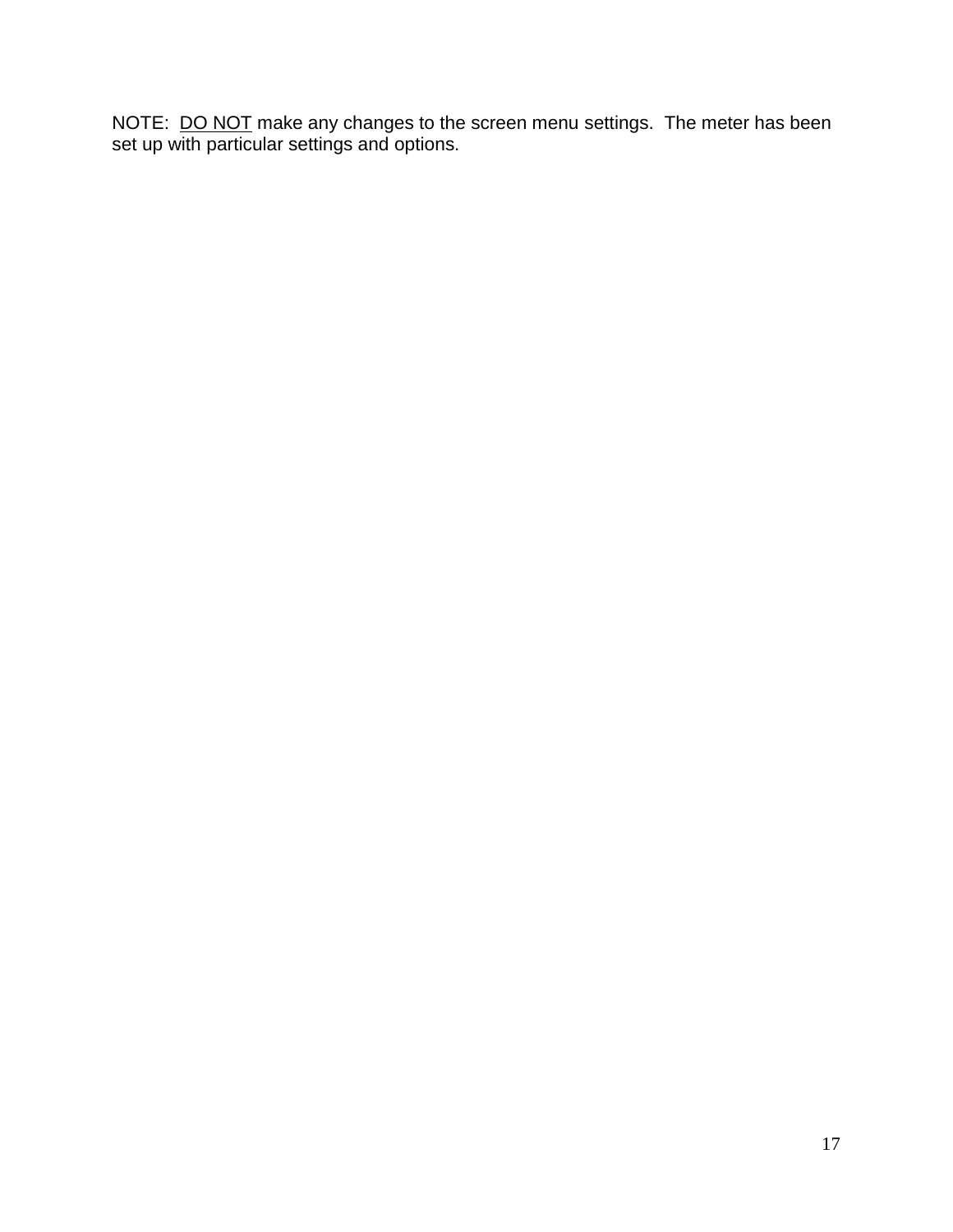NOTE: DO NOT make any changes to the screen menu settings. The meter has been set up with particular settings and options.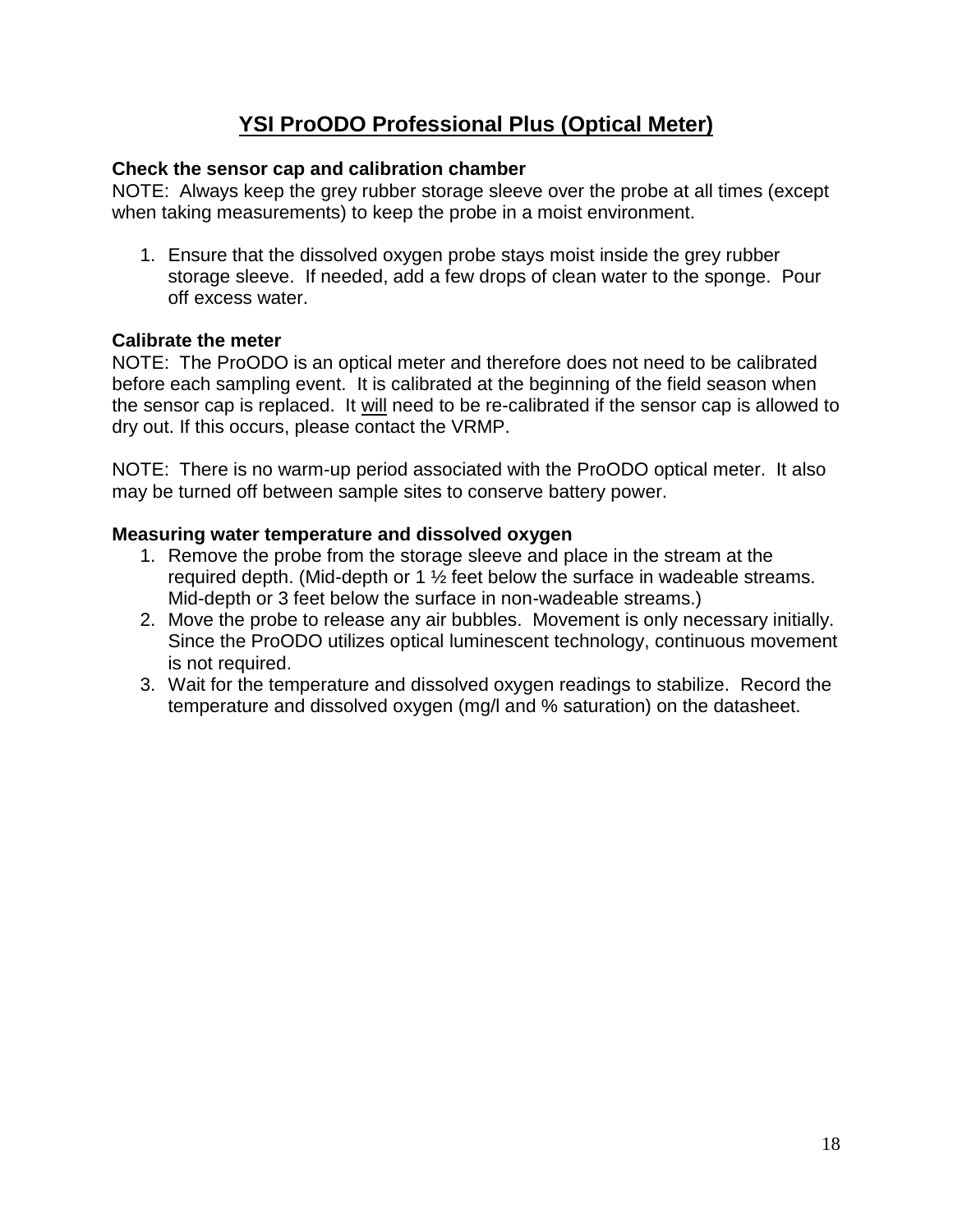# **YSI ProODO Professional Plus (Optical Meter)**

### **Check the sensor cap and calibration chamber**

NOTE: Always keep the grey rubber storage sleeve over the probe at all times (except when taking measurements) to keep the probe in a moist environment.

1. Ensure that the dissolved oxygen probe stays moist inside the grey rubber storage sleeve. If needed, add a few drops of clean water to the sponge. Pour off excess water.

### **Calibrate the meter**

NOTE: The ProODO is an optical meter and therefore does not need to be calibrated before each sampling event. It is calibrated at the beginning of the field season when the sensor cap is replaced. It will need to be re-calibrated if the sensor cap is allowed to dry out. If this occurs, please contact the VRMP.

NOTE: There is no warm-up period associated with the ProODO optical meter. It also may be turned off between sample sites to conserve battery power.

### **Measuring water temperature and dissolved oxygen**

- 1. Remove the probe from the storage sleeve and place in the stream at the required depth. (Mid-depth or 1 ½ feet below the surface in wadeable streams. Mid-depth or 3 feet below the surface in non-wadeable streams.)
- 2. Move the probe to release any air bubbles. Movement is only necessary initially. Since the ProODO utilizes optical luminescent technology, continuous movement is not required.
- 3. Wait for the temperature and dissolved oxygen readings to stabilize. Record the temperature and dissolved oxygen (mg/l and % saturation) on the datasheet.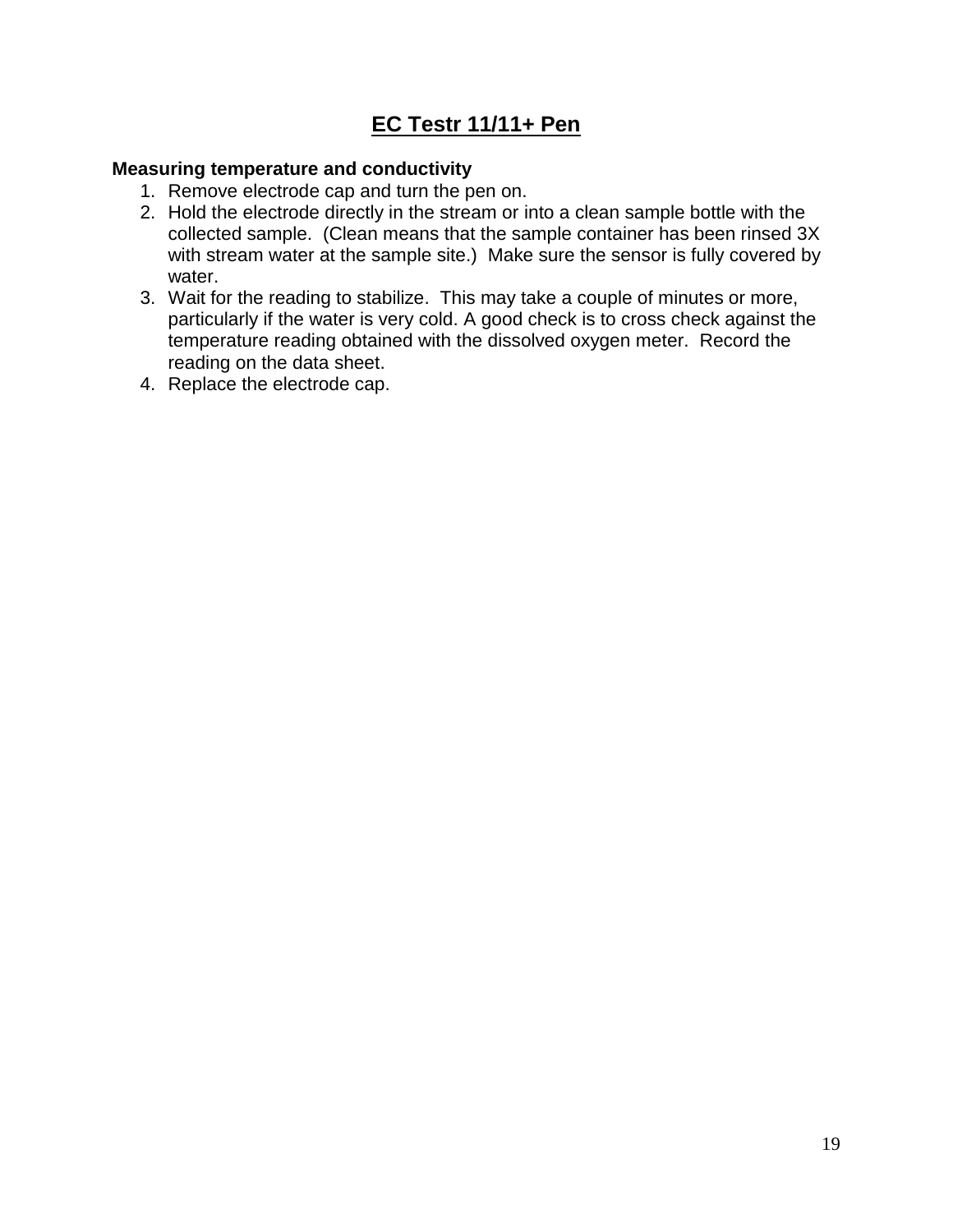# **EC Testr 11/11+ Pen**

#### **Measuring temperature and conductivity**

- 1. Remove electrode cap and turn the pen on.
- 2. Hold the electrode directly in the stream or into a clean sample bottle with the collected sample. (Clean means that the sample container has been rinsed 3X with stream water at the sample site.) Make sure the sensor is fully covered by water.
- 3. Wait for the reading to stabilize. This may take a couple of minutes or more, particularly if the water is very cold. A good check is to cross check against the temperature reading obtained with the dissolved oxygen meter. Record the reading on the data sheet.
- 4. Replace the electrode cap.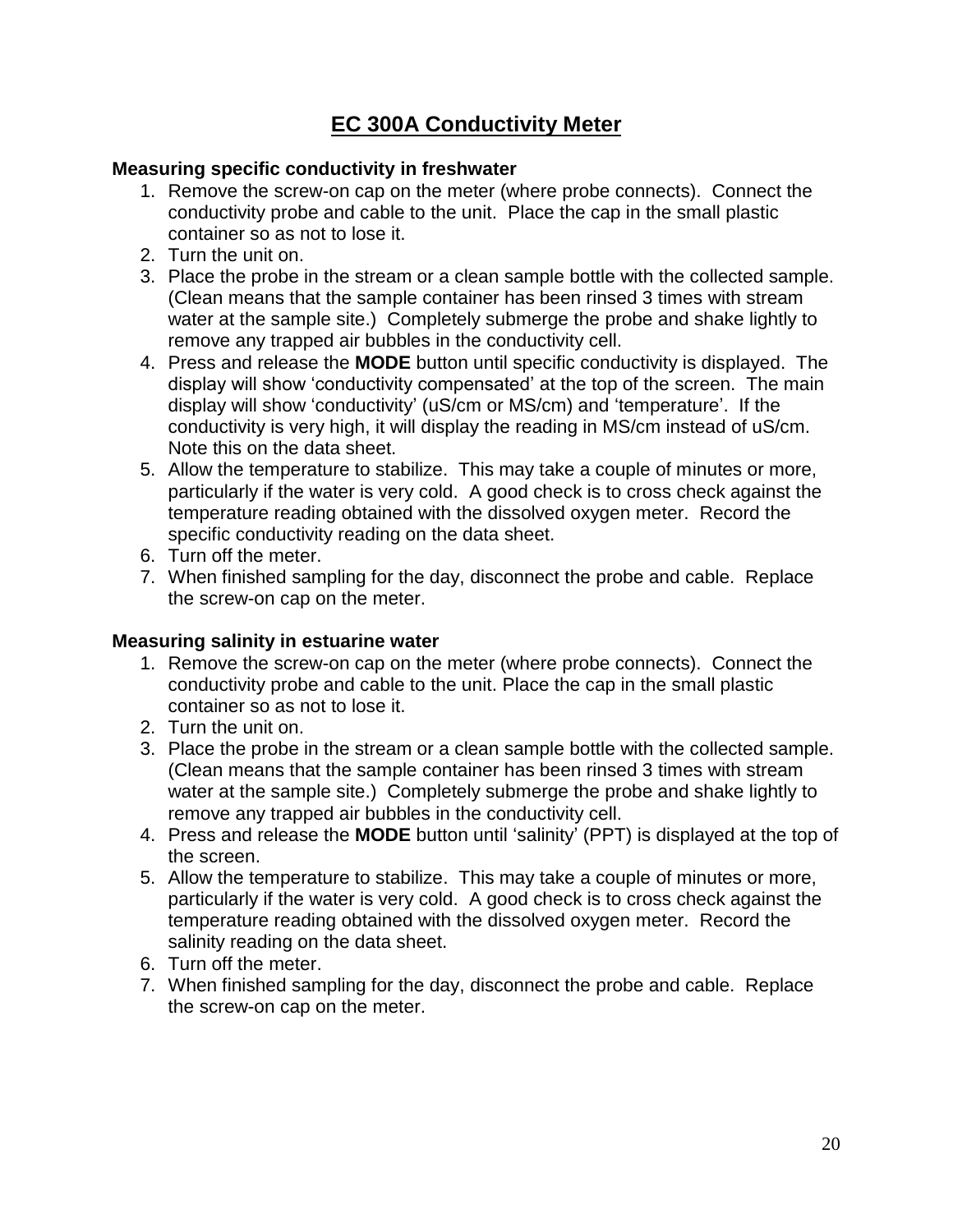# **EC 300A Conductivity Meter**

#### **Measuring specific conductivity in freshwater**

- 1. Remove the screw-on cap on the meter (where probe connects). Connect the conductivity probe and cable to the unit. Place the cap in the small plastic container so as not to lose it.
- 2. Turn the unit on.
- 3. Place the probe in the stream or a clean sample bottle with the collected sample. (Clean means that the sample container has been rinsed 3 times with stream water at the sample site.) Completely submerge the probe and shake lightly to remove any trapped air bubbles in the conductivity cell.
- 4. Press and release the **MODE** button until specific conductivity is displayed. The display will show 'conductivity compensated' at the top of the screen. The main display will show 'conductivity' (uS/cm or MS/cm) and 'temperature'. If the conductivity is very high, it will display the reading in MS/cm instead of uS/cm. Note this on the data sheet.
- 5. Allow the temperature to stabilize. This may take a couple of minutes or more, particularly if the water is very cold. A good check is to cross check against the temperature reading obtained with the dissolved oxygen meter. Record the specific conductivity reading on the data sheet.
- 6. Turn off the meter.
- 7. When finished sampling for the day, disconnect the probe and cable. Replace the screw-on cap on the meter.

### **Measuring salinity in estuarine water**

- 1. Remove the screw-on cap on the meter (where probe connects). Connect the conductivity probe and cable to the unit. Place the cap in the small plastic container so as not to lose it.
- 2. Turn the unit on.
- 3. Place the probe in the stream or a clean sample bottle with the collected sample. (Clean means that the sample container has been rinsed 3 times with stream water at the sample site.) Completely submerge the probe and shake lightly to remove any trapped air bubbles in the conductivity cell.
- 4. Press and release the **MODE** button until 'salinity' (PPT) is displayed at the top of the screen.
- 5. Allow the temperature to stabilize. This may take a couple of minutes or more, particularly if the water is very cold. A good check is to cross check against the temperature reading obtained with the dissolved oxygen meter. Record the salinity reading on the data sheet.
- 6. Turn off the meter.
- 7. When finished sampling for the day, disconnect the probe and cable. Replace the screw-on cap on the meter.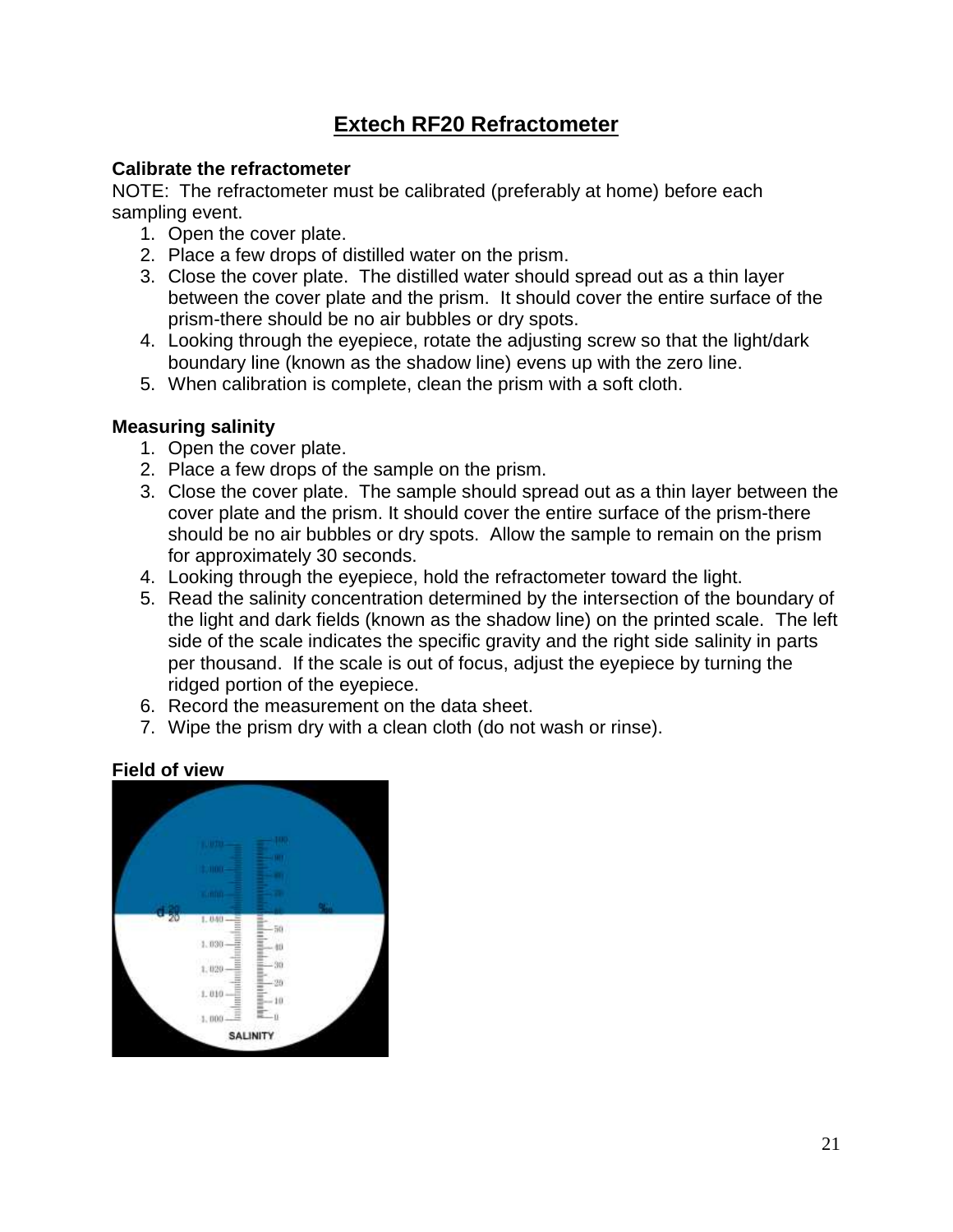## **Extech RF20 Refractometer**

#### **Calibrate the refractometer**

NOTE: The refractometer must be calibrated (preferably at home) before each sampling event.

- 1. Open the cover plate.
- 2. Place a few drops of distilled water on the prism.
- 3. Close the cover plate. The distilled water should spread out as a thin layer between the cover plate and the prism. It should cover the entire surface of the prism-there should be no air bubbles or dry spots.
- 4. Looking through the eyepiece, rotate the adjusting screw so that the light/dark boundary line (known as the shadow line) evens up with the zero line.
- 5. When calibration is complete, clean the prism with a soft cloth.

#### **Measuring salinity**

- 1. Open the cover plate.
- 2. Place a few drops of the sample on the prism.
- 3. Close the cover plate. The sample should spread out as a thin layer between the cover plate and the prism. It should cover the entire surface of the prism-there should be no air bubbles or dry spots. Allow the sample to remain on the prism for approximately 30 seconds.
- 4. Looking through the eyepiece, hold the refractometer toward the light.
- 5. Read the salinity concentration determined by the intersection of the boundary of the light and dark fields (known as the shadow line) on the printed scale. The left side of the scale indicates the specific gravity and the right side salinity in parts per thousand. If the scale is out of focus, adjust the eyepiece by turning the ridged portion of the eyepiece.
- 6. Record the measurement on the data sheet.
- 7. Wipe the prism dry with a clean cloth (do not wash or rinse).

#### **Field of view**

|    | 100<br><b>TUBER</b><br><b>BUT</b><br><b>Little</b>                                         |   |
|----|--------------------------------------------------------------------------------------------|---|
| 20 | $min -$<br>1.040                                                                           | 骗 |
|    | Ë<br>50<br>≡<br>-<br>1.030<br>m<br>$\overline{\phantom{a}}$<br>40<br>Ë<br>-<br>-<br>       |   |
|    | 1,020<br>30<br>Ξ<br>۰<br>20<br>-<br>=<br>Ξ<br>1.010<br>$\sim$<br>÷<br>m<br>$-10$<br>s<br>≡ |   |
|    | ü<br>$-\mathbf{u}$<br>1,000<br>SALINITY                                                    |   |